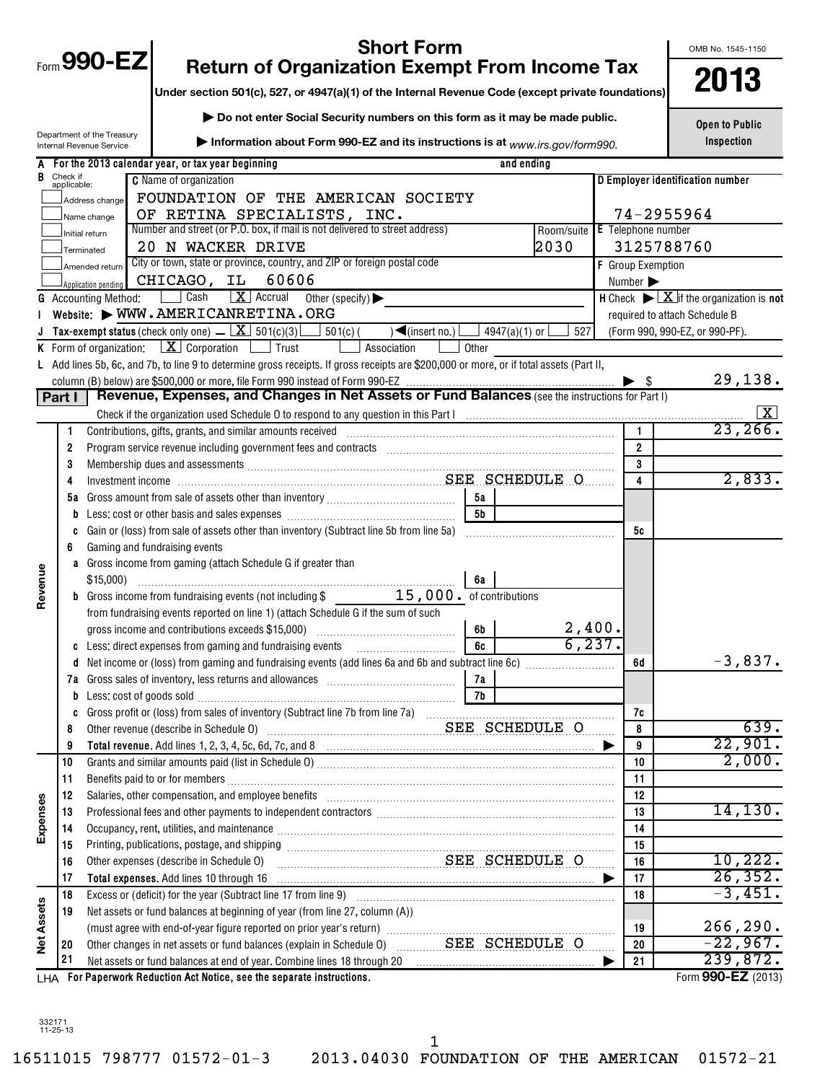|                   |                         |                                                                                                                                                                                                                                | OMB No. 1545-1150 |                               |                          |                                                                                   |
|-------------------|-------------------------|--------------------------------------------------------------------------------------------------------------------------------------------------------------------------------------------------------------------------------|-------------------|-------------------------------|--------------------------|-----------------------------------------------------------------------------------|
|                   |                         | Form 990-EZ<br><b>Return of Organization Exempt From Income Tax</b><br>Under section 501(c), 527, or 4947(a)(1) of the Internal Revenue Code (except private foundations)                                                      |                   |                               |                          | 2013                                                                              |
|                   |                         |                                                                                                                                                                                                                                |                   |                               |                          |                                                                                   |
|                   |                         | Do not enter Social Security numbers on this form as it may be made public.                                                                                                                                                    |                   |                               |                          | <b>Open to Public</b>                                                             |
|                   |                         | Department of the Treasury<br>Information about Form 990-EZ and its instructions is at www.irs.gov/form990.<br>Internal Revenue Service                                                                                        |                   |                               |                          | Inspection                                                                        |
|                   |                         | A For the 2013 calendar year, or tax year beginning                                                                                                                                                                            |                   | and ending                    |                          |                                                                                   |
|                   | Check if<br>applicable: | <b>C</b> Name of organization                                                                                                                                                                                                  |                   |                               |                          | D Employer identification number                                                  |
|                   |                         | FOUNDATION OF THE AMERICAN SOCIETY<br>Address change                                                                                                                                                                           |                   |                               |                          |                                                                                   |
|                   |                         | OF RETINA SPECIALISTS, INC.<br>Name change                                                                                                                                                                                     |                   |                               |                          | 74-2955964                                                                        |
|                   |                         | Number and street (or P.O. box, if mail is not delivered to street address)<br>Initial return                                                                                                                                  |                   | Room/suite E Telephone number |                          |                                                                                   |
|                   |                         | 20 N WACKER DRIVE<br>Terminated                                                                                                                                                                                                |                   | 2030                          |                          | 3125788760                                                                        |
|                   |                         | City or town, state or province, country, and ZIP or foreign postal code<br>Amended return                                                                                                                                     |                   |                               | <b>F</b> Group Exemption |                                                                                   |
|                   |                         | 60606<br>CHICAGO, IL<br>Application pending                                                                                                                                                                                    |                   |                               | Number >                 |                                                                                   |
|                   |                         | Cash<br>$\mathbf{X}$ Accrual<br><b>G</b> Accounting Method:<br>Other (specify) $\blacktriangleright$                                                                                                                           |                   |                               |                          | H Check $\triangleright \lfloor \underline{X} \rfloor$ if the organization is not |
|                   |                         | Website: WWW.AMERICANRETINA.ORG                                                                                                                                                                                                |                   |                               |                          | required to attach Schedule B                                                     |
|                   |                         | Tax-exempt status (check only one) $\angle$   $X$   501(c)(3)<br>$\blacktriangleleft$ (insert no.)<br>$\Box$ 501(c) (                                                                                                          |                   | 4947(a)(1) or<br>527          |                          | (Form 990, 990-EZ, or 990-PF).                                                    |
|                   |                         | <b>K</b> Form of organization: $X \cdot \text{Corporation}$ $\Box$ Trust<br>Association                                                                                                                                        | Other             |                               |                          |                                                                                   |
|                   |                         | L Add lines 5b, 6c, and 7b, to line 9 to determine gross receipts. If gross receipts are \$200,000 or more, or if total assets (Part II,                                                                                       |                   |                               |                          | 29,138.                                                                           |
|                   | Part I                  | Revenue, Expenses, and Changes in Net Assets or Fund Balances (see the instructions for Part I)                                                                                                                                |                   |                               |                          |                                                                                   |
|                   |                         |                                                                                                                                                                                                                                |                   |                               |                          | $\lfloor x \rfloor$                                                               |
|                   | 1                       |                                                                                                                                                                                                                                |                   |                               | $\mathbf{1}$             | 23, 266.                                                                          |
|                   | 2                       |                                                                                                                                                                                                                                |                   |                               | $\overline{2}$           |                                                                                   |
|                   | 3                       | Membership dues and assessments [111] Membership and assessments [11] Membership and assessments [11] Membership and assessments [11] Membership and assessments [11] Membership and assessments [11] Membership and assessmen |                   |                               | 3                        |                                                                                   |
|                   | 4                       |                                                                                                                                                                                                                                | 4                 | 2,833.                        |                          |                                                                                   |
|                   | 5а                      |                                                                                                                                                                                                                                | 5а                |                               |                          |                                                                                   |
|                   | b                       |                                                                                                                                                                                                                                | <b>5b</b>         |                               |                          |                                                                                   |
|                   | c                       | Gain or (loss) from sale of assets other than inventory (Subtract line 5b from line 5a)                                                                                                                                        |                   |                               | 5с                       |                                                                                   |
|                   | 6                       | Gaming and fundraising events                                                                                                                                                                                                  |                   |                               |                          |                                                                                   |
|                   |                         | a Gross income from gaming (attach Schedule G if greater than                                                                                                                                                                  |                   |                               |                          |                                                                                   |
| Revenue           |                         | \$15,000                                                                                                                                                                                                                       | 6a                |                               |                          |                                                                                   |
|                   |                         | <b>b</b> Gross income from fundraising events (not including \$ 15,000. of contributions                                                                                                                                       |                   |                               |                          |                                                                                   |
|                   |                         | from fundraising events reported on line 1) (attach Schedule G if the sum of such<br>gross income and contributions exceeds \$15,000)                                                                                          | 6b                | 2,400.                        |                          |                                                                                   |
|                   |                         | c Less: direct expenses from gaming and fundraising events                                                                                                                                                                     | 6c                |                               | , 237.                   |                                                                                   |
|                   |                         |                                                                                                                                                                                                                                |                   |                               | 6d                       | $-3,837.$                                                                         |
|                   | 7а                      |                                                                                                                                                                                                                                | 7a                |                               |                          |                                                                                   |
|                   | b                       |                                                                                                                                                                                                                                | 7b                |                               |                          |                                                                                   |
|                   | C                       |                                                                                                                                                                                                                                |                   |                               | 7с                       |                                                                                   |
|                   | 8                       | Other revenue (describe in Schedule 0) Material Communications SEE SCHEDULE O                                                                                                                                                  |                   |                               | 8                        | 639.                                                                              |
|                   | 9                       |                                                                                                                                                                                                                                |                   |                               | 9                        | 22,901.                                                                           |
|                   | 10                      |                                                                                                                                                                                                                                |                   |                               | 10                       | 2,000.                                                                            |
|                   | 11                      |                                                                                                                                                                                                                                |                   |                               | 11                       |                                                                                   |
|                   | 12                      | Salaries, other compensation, and employee benefits [11] manufactures in the comparison of the compensation, and employee benefits [11] manufactures in the compensation of the competition of the competition of the competit |                   |                               | 12                       |                                                                                   |
| Expenses          | 13                      | Professional fees and other payments to independent contractors [11] professional message and other payments to independent contractors [11] professional fees and other payments to independent contractors [11] professional |                   |                               | 13                       | 14, 130.                                                                          |
|                   | 14<br>15                | Occupancy, rent, utilities, and maintenance manufactured and accuracy of the manufactured and maintenance manufactured and maintenance manufactured and maintenance manufactured and manufactured and manufactured and manufac | 14<br>15          |                               |                          |                                                                                   |
|                   | 16                      | SEE SCHEDULE O<br>Other expenses (describe in Schedule O)                                                                                                                                                                      | 16                | 10, 222.                      |                          |                                                                                   |
|                   | 17                      | Total expenses. Add lines 10 through 16                                                                                                                                                                                        |                   |                               | 17                       | 26, 352.                                                                          |
|                   | 18                      |                                                                                                                                                                                                                                |                   |                               | 18                       | $-3,451.$                                                                         |
| <b>Net Assets</b> | 19                      | Net assets or fund balances at beginning of year (from line 27, column (A))                                                                                                                                                    |                   |                               |                          |                                                                                   |
|                   |                         |                                                                                                                                                                                                                                |                   |                               | 19                       | 266, 290.                                                                         |
|                   | 20                      | Other changes in net assets or fund balances (explain in Schedule 0) Massette SCHEDULE O                                                                                                                                       |                   |                               | 20                       | $-22,967.$                                                                        |
|                   | 21                      | Net assets or fund balances at end of year. Combine lines 18 through 20 [11] [20] [11] Met assets or fund balances at end of year. Combine lines 18 through 20 [11] [12] Met assets or fund balances at end of year.           |                   |                               | 21<br>▸                  | 239,872.                                                                          |
|                   |                         | LHA For Paperwork Reduction Act Notice, see the separate instructions.                                                                                                                                                         |                   |                               |                          | Form 990-EZ (2013)                                                                |

332171 11-25-13

1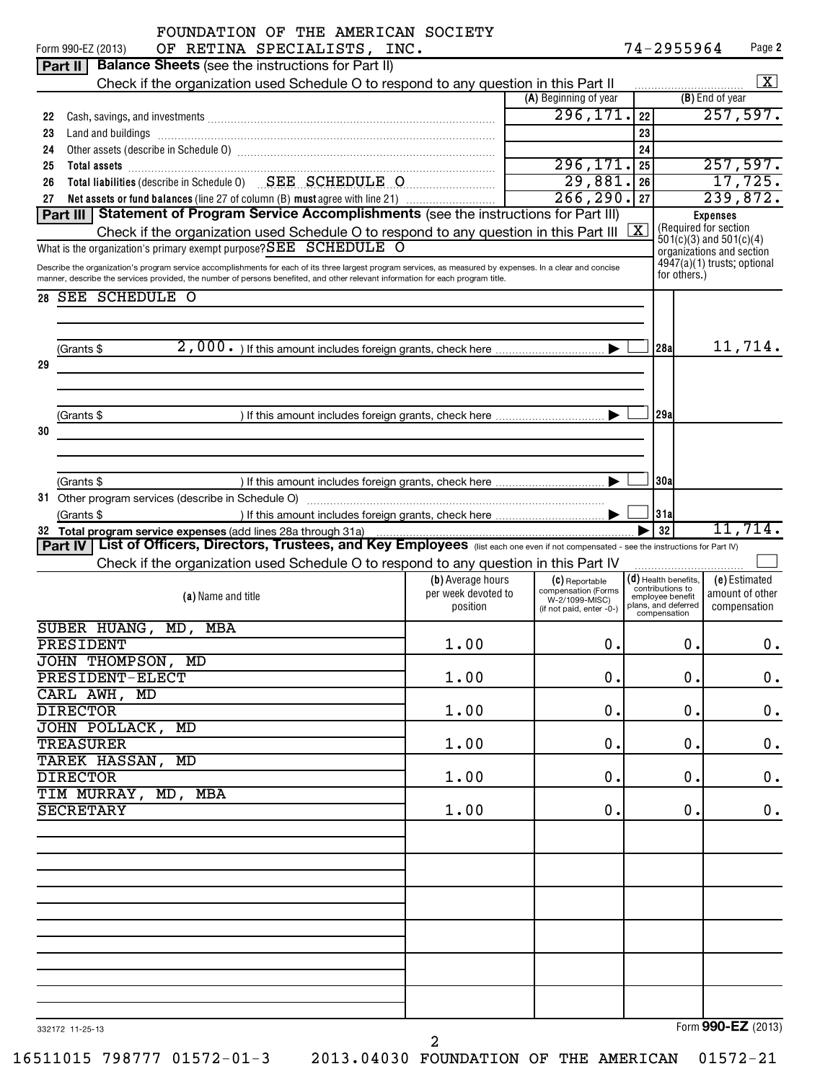| FOUNDATION OF THE AMERICAN SOCIETY<br>OF RETINA SPECIALISTS, INC.<br>Form 990-EZ (2013)                                                                                                                                                                                                                                   |                                                      |                                                                                     |               | 74-2955964                                                                                                         |                 | Page 2                           |  |
|---------------------------------------------------------------------------------------------------------------------------------------------------------------------------------------------------------------------------------------------------------------------------------------------------------------------------|------------------------------------------------------|-------------------------------------------------------------------------------------|---------------|--------------------------------------------------------------------------------------------------------------------|-----------------|----------------------------------|--|
| <b>Balance Sheets</b> (see the instructions for Part II)<br>Part II                                                                                                                                                                                                                                                       |                                                      |                                                                                     |               |                                                                                                                    |                 |                                  |  |
| Check if the organization used Schedule O to respond to any question in this Part II                                                                                                                                                                                                                                      |                                                      |                                                                                     |               |                                                                                                                    |                 | $\boxed{\text{X}}$               |  |
|                                                                                                                                                                                                                                                                                                                           |                                                      | (A) Beginning of year                                                               |               |                                                                                                                    | (B) End of year |                                  |  |
| 22                                                                                                                                                                                                                                                                                                                        |                                                      | 296, 171.                                                                           | 22            |                                                                                                                    |                 | 257,597.                         |  |
| 23                                                                                                                                                                                                                                                                                                                        |                                                      |                                                                                     | 23            |                                                                                                                    |                 |                                  |  |
| 24                                                                                                                                                                                                                                                                                                                        |                                                      |                                                                                     | 24            |                                                                                                                    |                 |                                  |  |
| 25                                                                                                                                                                                                                                                                                                                        |                                                      | 296, 171.                                                                           | 25            |                                                                                                                    |                 | 257,597.                         |  |
| Total liabilities (describe in Schedule 0) SEE SCHEDULE O<br>26                                                                                                                                                                                                                                                           |                                                      | 29,881.                                                                             | 26            |                                                                                                                    |                 | 17,725.                          |  |
| Net assets or fund balances (line 27 of column (B) must agree with line 21)<br>27<br>Part III Statement of Program Service Accomplishments (see the instructions for Part III)                                                                                                                                            |                                                      | 266, 290.                                                                           | 27            |                                                                                                                    |                 | 239,872.                         |  |
| Check if the organization used Schedule O to respond to any question in this Part III<br>What is the organization's primary exempt purpose? SEE SCHEDULE O<br>Describe the organization's program service accomplishments for each of its three largest program services, as measured by expenses. In a clear and concise |                                                      |                                                                                     | $\mid X \mid$ | (Required for section<br>$501(c)(3)$ and $501(c)(4)$<br>organizations and section<br>$4947(a)(1)$ trusts; optional | <b>Expenses</b> |                                  |  |
| manner, describe the services provided, the number of persons benefited, and other relevant information for each program title.                                                                                                                                                                                           |                                                      |                                                                                     |               | for others.)                                                                                                       |                 |                                  |  |
| 28 SEE SCHEDULE O                                                                                                                                                                                                                                                                                                         |                                                      |                                                                                     |               |                                                                                                                    |                 |                                  |  |
| (Grants \$                                                                                                                                                                                                                                                                                                                |                                                      |                                                                                     |               | 28al                                                                                                               |                 | 11,714.                          |  |
| 29                                                                                                                                                                                                                                                                                                                        |                                                      |                                                                                     |               |                                                                                                                    |                 |                                  |  |
|                                                                                                                                                                                                                                                                                                                           |                                                      |                                                                                     |               | 29a                                                                                                                |                 |                                  |  |
| (Grants \$<br>30                                                                                                                                                                                                                                                                                                          |                                                      |                                                                                     |               |                                                                                                                    |                 |                                  |  |
|                                                                                                                                                                                                                                                                                                                           |                                                      |                                                                                     |               |                                                                                                                    |                 |                                  |  |
| (Grants \$                                                                                                                                                                                                                                                                                                                |                                                      |                                                                                     |               | 30al                                                                                                               |                 |                                  |  |
|                                                                                                                                                                                                                                                                                                                           |                                                      |                                                                                     |               |                                                                                                                    |                 |                                  |  |
| (Grants \$                                                                                                                                                                                                                                                                                                                |                                                      |                                                                                     |               | 31a                                                                                                                |                 |                                  |  |
| 32 Total program service expenses (add lines 28a through 31a)                                                                                                                                                                                                                                                             |                                                      |                                                                                     |               | 32                                                                                                                 |                 | 11,714.                          |  |
| Part IV   List of Officers, Directors, Trustees, and Key Employees (list each one even if not compensated - see the instructions for Part IV)                                                                                                                                                                             |                                                      |                                                                                     |               |                                                                                                                    |                 |                                  |  |
| Check if the organization used Schedule O to respond to any question in this Part IV                                                                                                                                                                                                                                      |                                                      |                                                                                     |               |                                                                                                                    |                 |                                  |  |
| (a) Name and title                                                                                                                                                                                                                                                                                                        | (b) Average hours<br>per week devoted to<br>position | (C) Reportable<br>compensation (Forms<br>W-2/1099-MISC)<br>(if not paid, enter -0-) |               | $(d)$ Health benefits,<br>contributions to<br>emplovee benefit<br>plans, and deferred                              | compensation    | (e) Estimated<br>amount of other |  |
| SUBER HUANG, MD, MBA                                                                                                                                                                                                                                                                                                      |                                                      |                                                                                     |               | compensation                                                                                                       |                 |                                  |  |
| PRESIDENT                                                                                                                                                                                                                                                                                                                 | 1.00                                                 | $\mathbf 0$ .                                                                       |               | $\mathbf 0$ .                                                                                                      |                 | 0.                               |  |
| JOHN THOMPSON, MD                                                                                                                                                                                                                                                                                                         |                                                      |                                                                                     |               |                                                                                                                    |                 |                                  |  |
| PRESIDENT-ELECT                                                                                                                                                                                                                                                                                                           | 1.00                                                 | 0.                                                                                  |               | 0.                                                                                                                 |                 | 0.                               |  |
| CARL AWH,<br>MD                                                                                                                                                                                                                                                                                                           |                                                      |                                                                                     |               |                                                                                                                    |                 |                                  |  |
| <b>DIRECTOR</b>                                                                                                                                                                                                                                                                                                           | 1.00                                                 | 0.                                                                                  |               | 0.                                                                                                                 |                 | $\mathbf 0$ .                    |  |
| JOHN POLLACK, MD                                                                                                                                                                                                                                                                                                          |                                                      |                                                                                     |               |                                                                                                                    |                 |                                  |  |
| <b>TREASURER</b>                                                                                                                                                                                                                                                                                                          | 1.00                                                 | 0.                                                                                  |               | 0.                                                                                                                 |                 | $\mathbf 0$ .                    |  |
| TAREK HASSAN,<br>MD                                                                                                                                                                                                                                                                                                       |                                                      |                                                                                     |               |                                                                                                                    |                 |                                  |  |
| <b>DIRECTOR</b><br>TIM MURRAY, MD, MBA                                                                                                                                                                                                                                                                                    | 1.00                                                 | 0.                                                                                  |               | 0.                                                                                                                 |                 | 0.                               |  |
| <b>SECRETARY</b>                                                                                                                                                                                                                                                                                                          | 1.00                                                 | 0.                                                                                  |               | 0.                                                                                                                 |                 | 0.                               |  |
|                                                                                                                                                                                                                                                                                                                           |                                                      |                                                                                     |               |                                                                                                                    |                 |                                  |  |
|                                                                                                                                                                                                                                                                                                                           |                                                      |                                                                                     |               |                                                                                                                    |                 |                                  |  |
|                                                                                                                                                                                                                                                                                                                           |                                                      |                                                                                     |               |                                                                                                                    |                 |                                  |  |
|                                                                                                                                                                                                                                                                                                                           |                                                      |                                                                                     |               |                                                                                                                    |                 |                                  |  |
|                                                                                                                                                                                                                                                                                                                           |                                                      |                                                                                     |               |                                                                                                                    |                 |                                  |  |
|                                                                                                                                                                                                                                                                                                                           |                                                      |                                                                                     |               |                                                                                                                    |                 |                                  |  |
|                                                                                                                                                                                                                                                                                                                           |                                                      |                                                                                     |               |                                                                                                                    |                 |                                  |  |
|                                                                                                                                                                                                                                                                                                                           |                                                      |                                                                                     |               |                                                                                                                    |                 |                                  |  |
|                                                                                                                                                                                                                                                                                                                           |                                                      |                                                                                     |               |                                                                                                                    |                 |                                  |  |
|                                                                                                                                                                                                                                                                                                                           |                                                      |                                                                                     |               |                                                                                                                    |                 |                                  |  |
|                                                                                                                                                                                                                                                                                                                           |                                                      |                                                                                     |               |                                                                                                                    |                 |                                  |  |
|                                                                                                                                                                                                                                                                                                                           |                                                      |                                                                                     |               |                                                                                                                    |                 |                                  |  |
| 332172 11-25-13                                                                                                                                                                                                                                                                                                           |                                                      |                                                                                     |               |                                                                                                                    |                 | Form 990-EZ (2013)               |  |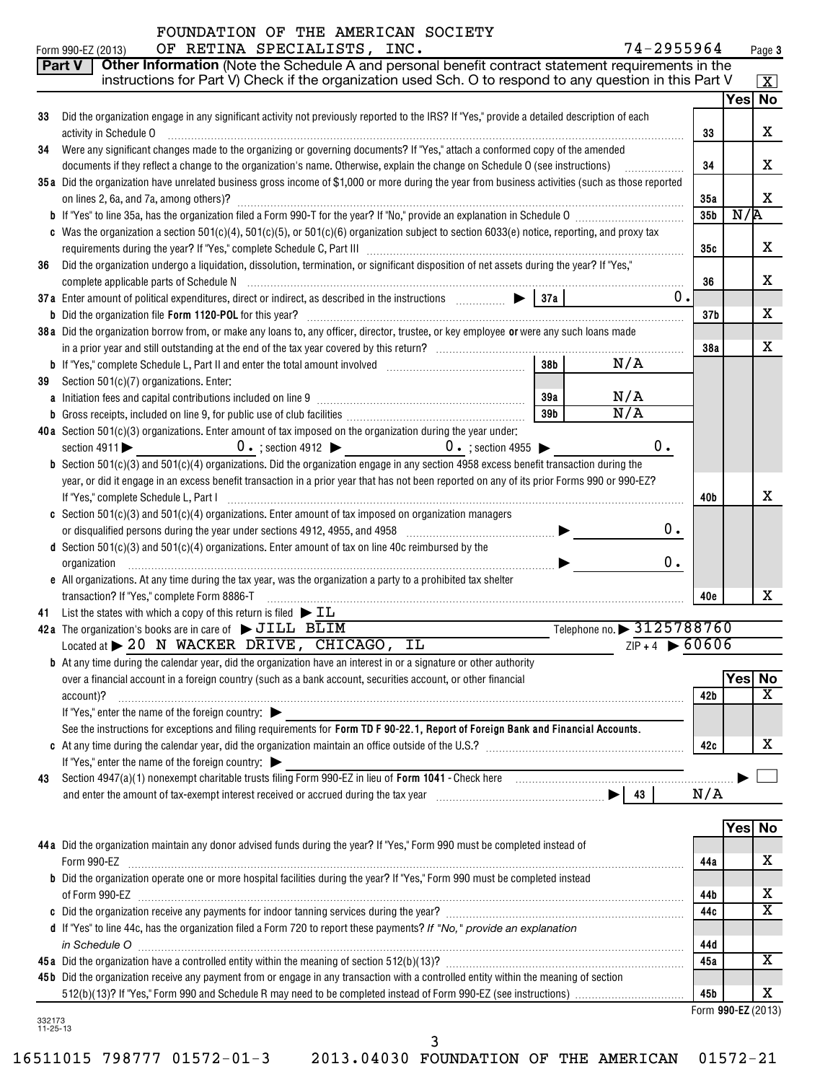## FOUNDATION OF THE AMERICAN SOCIETY

|                    | 74-2955964<br>OF RETINA SPECIALISTS, INC.<br>Form 990-EZ (2013)                                                                                   |                    |        | Page 3                  |
|--------------------|---------------------------------------------------------------------------------------------------------------------------------------------------|--------------------|--------|-------------------------|
|                    | Other Information (Note the Schedule A and personal benefit contract statement requirements in the<br>Part V                                      |                    |        |                         |
|                    | instructions for Part V) Check if the organization used Sch. O to respond to any question in this Part V                                          |                    |        | $\boxed{\textbf{X}}$    |
|                    |                                                                                                                                                   |                    | Yes No |                         |
| 33                 | Did the organization engage in any significant activity not previously reported to the IRS? If "Yes," provide a detailed description of each      |                    |        |                         |
|                    | activity in Schedule O                                                                                                                            | 33                 |        | х                       |
| 34                 | Were any significant changes made to the organizing or governing documents? If "Yes," attach a conformed copy of the amended                      |                    |        |                         |
|                    | documents if they reflect a change to the organization's name. Otherwise, explain the change on Schedule O (see instructions)                     | 34                 |        | х                       |
|                    | 35a Did the organization have unrelated business gross income of \$1,000 or more during the year from business activities (such as those reported |                    |        |                         |
|                    | on lines 2, 6a, and 7a, among others)?                                                                                                            | 35a                |        | x                       |
|                    |                                                                                                                                                   | 35 <sub>b</sub>    | N/R    |                         |
|                    | c Was the organization a section 501(c)(4), 501(c)(5), or 501(c)(6) organization subject to section 6033(e) notice, reporting, and proxy tax      |                    |        |                         |
|                    |                                                                                                                                                   | 35c                |        | х                       |
| 36                 | Did the organization undergo a liquidation, dissolution, termination, or significant disposition of net assets during the year? If "Yes,"         |                    |        |                         |
|                    |                                                                                                                                                   | 36                 |        | x                       |
|                    | 37a Enter amount of political expenditures, direct or indirect, as described in the instructions $\Box$ $\Box$ 37a<br>$0$ .                       |                    |        |                         |
|                    |                                                                                                                                                   | 37 <sub>b</sub>    |        | х                       |
|                    | 38a Did the organization borrow from, or make any loans to, any officer, director, trustee, or key employee or were any such loans made           |                    |        | x                       |
|                    | 38 <sub>b</sub><br>N/A                                                                                                                            | 38a                |        |                         |
|                    |                                                                                                                                                   |                    |        |                         |
| 39                 | Section 501(c)(7) organizations. Enter:<br>N/A<br>39a                                                                                             |                    |        |                         |
|                    | N/A<br>39 <sub>b</sub>                                                                                                                            |                    |        |                         |
|                    | 40a Section 501(c)(3) organizations. Enter amount of tax imposed on the organization during the year under:                                       |                    |        |                         |
|                    | $0 \cdot$ ; section 4912<br>$0 \cdot$ ; section 4955<br>0.<br>section $4911$                                                                      |                    |        |                         |
|                    | <b>b</b> Section 501(c)(3) and 501(c)(4) organizations. Did the organization engage in any section 4958 excess benefit transaction during the     |                    |        |                         |
|                    | year, or did it engage in an excess benefit transaction in a prior year that has not been reported on any of its prior Forms 990 or 990-EZ?       |                    |        |                         |
|                    | If "Yes," complete Schedule L, Part I                                                                                                             | 40b                |        | х                       |
|                    | c Section 501(c)(3) and 501(c)(4) organizations. Enter amount of tax imposed on organization managers                                             |                    |        |                         |
|                    | 0.<br>or disqualified persons during the year under sections 4912, 4955, and 4958 [11] [12] [23] [23] [24] [24] [25]                              |                    |        |                         |
|                    | d Section $501(c)(3)$ and $501(c)(4)$ organizations. Enter amount of tax on line 40c reimbursed by the                                            |                    |        |                         |
|                    | 0.<br>organization                                                                                                                                |                    |        |                         |
|                    | e All organizations. At any time during the tax year, was the organization a party to a prohibited tax shelter                                    |                    |        |                         |
|                    | transaction? If "Yes," complete Form 8886-T                                                                                                       | 40e                |        | x                       |
| 41                 | List the states with which a copy of this return is filed $\blacktriangleright$ $\text{IL}$                                                       |                    |        |                         |
|                    | Telephone no. > 3125788760<br>42a The organization's books are in care of $\triangleright$ JILL BLIM                                              |                    |        |                         |
|                    | $ZIP + 4$ 60606<br>Located at > 20 N WACKER DRIVE, CHICAGO, IL                                                                                    |                    |        |                         |
|                    | <b>b</b> At any time during the calendar year, did the organization have an interest in or a signature or other authority                         |                    |        |                         |
|                    | over a financial account in a foreign country (such as a bank account, securities account, or other financial                                     |                    | Yes    | <b>No</b>               |
|                    | account)?                                                                                                                                         | 42b                |        | х                       |
|                    | If "Yes," enter the name of the foreign country:                                                                                                  |                    |        |                         |
|                    | See the instructions for exceptions and filing requirements for Form TD F 90-22.1, Report of Foreign Bank and Financial Accounts.                 |                    |        |                         |
|                    |                                                                                                                                                   | 42c                |        | x                       |
|                    | If "Yes," enter the name of the foreign country:                                                                                                  |                    |        |                         |
| 43                 |                                                                                                                                                   |                    |        |                         |
|                    |                                                                                                                                                   | N/A                |        |                         |
|                    |                                                                                                                                                   |                    |        |                         |
|                    | 44a Did the organization maintain any donor advised funds during the year? If "Yes," Form 990 must be completed instead of                        |                    | Yes No |                         |
|                    | Form 990-EZ                                                                                                                                       |                    |        | X                       |
|                    | b Did the organization operate one or more hospital facilities during the year? If "Yes," Form 990 must be completed instead                      | 44a                |        |                         |
|                    | of Form 990-EZ                                                                                                                                    | 44b                |        | x                       |
|                    |                                                                                                                                                   | 44c                |        | $\overline{\text{x}}$   |
|                    | d If "Yes" to line 44c, has the organization filed a Form 720 to report these payments? If "No," provide an explanation                           |                    |        |                         |
|                    | in Schedule O <b>www.areasure.com/interveletation</b> Schedule O www.areasure.com/interveletations/interveletations/in                            | 44d                |        |                         |
|                    |                                                                                                                                                   | 45a                |        | $\overline{\textbf{X}}$ |
|                    | 45b Did the organization receive any payment from or engage in any transaction with a controlled entity within the meaning of section             |                    |        |                         |
|                    |                                                                                                                                                   | 45b                |        | х                       |
|                    |                                                                                                                                                   | Form 990-EZ (2013) |        |                         |
| 332173<br>11-25-13 |                                                                                                                                                   |                    |        |                         |

3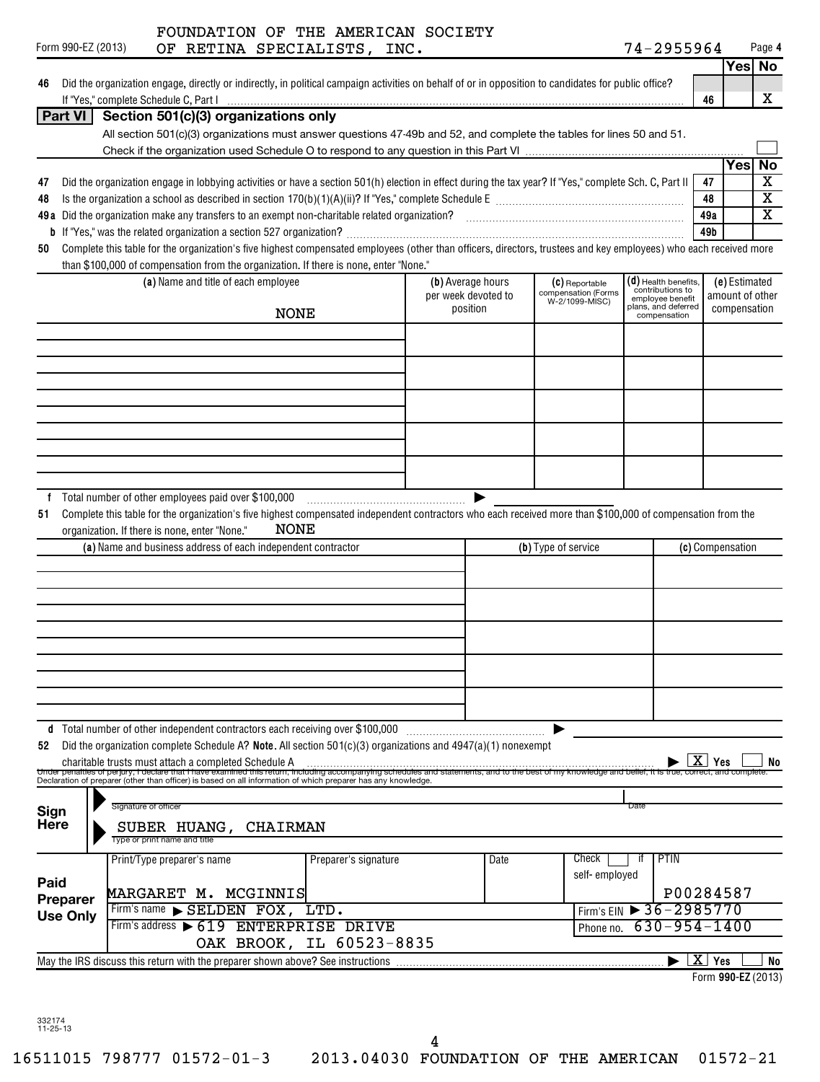|  | Form 990-EZ (2013) |  |
|--|--------------------|--|
|--|--------------------|--|

## Form 990-EZ (2013) Page OF RETINA SPECIALISTS, INC. 74-2955964 FOUNDATION OF THE AMERICAN SOCIETY

**4**

|                 |                                                                                                                                                                                                                                                                                     |                      |                                          |      |                                       |                                            |                  |                  | Yes No                  |
|-----------------|-------------------------------------------------------------------------------------------------------------------------------------------------------------------------------------------------------------------------------------------------------------------------------------|----------------------|------------------------------------------|------|---------------------------------------|--------------------------------------------|------------------|------------------|-------------------------|
|                 | Did the organization engage, directly or indirectly, in political campaign activities on behalf of or in opposition to candidates for public office?                                                                                                                                |                      |                                          |      |                                       |                                            |                  |                  |                         |
|                 |                                                                                                                                                                                                                                                                                     |                      |                                          |      |                                       |                                            | 46               |                  | x                       |
| Part VI         | Section 501(c)(3) organizations only                                                                                                                                                                                                                                                |                      |                                          |      |                                       |                                            |                  |                  |                         |
|                 | All section 501(c)(3) organizations must answer questions 47-49b and 52, and complete the tables for lines 50 and 51.                                                                                                                                                               |                      |                                          |      |                                       |                                            |                  |                  |                         |
|                 |                                                                                                                                                                                                                                                                                     |                      |                                          |      |                                       |                                            |                  | Yes              | <b>No</b>               |
| 47              | Did the organization engage in lobbying activities or have a section 501(h) election in effect during the tax year? If "Yes," complete Sch. C, Part II                                                                                                                              |                      |                                          |      |                                       |                                            | 47               |                  | $\overline{\textbf{X}}$ |
| 48              |                                                                                                                                                                                                                                                                                     |                      |                                          |      |                                       |                                            | 48               |                  | $\overline{\mathtt{x}}$ |
|                 |                                                                                                                                                                                                                                                                                     |                      |                                          |      |                                       |                                            | 49a              |                  | $\overline{\mathtt{x}}$ |
|                 |                                                                                                                                                                                                                                                                                     |                      |                                          |      |                                       |                                            | 49b              |                  |                         |
| 50              | Complete this table for the organization's five highest compensated employees (other than officers, directors, trustees and key employees) who each received more                                                                                                                   |                      |                                          |      |                                       |                                            |                  |                  |                         |
|                 | than \$100,000 of compensation from the organization. If there is none, enter "None."                                                                                                                                                                                               |                      |                                          |      |                                       |                                            |                  |                  |                         |
|                 | (a) Name and title of each employee                                                                                                                                                                                                                                                 |                      | (b) Average hours<br>per week devoted to |      | (C) Reportable<br>compensation (Forms | $(d)$ Health benefits,<br>contributions to |                  | (e) Estimated    |                         |
|                 |                                                                                                                                                                                                                                                                                     |                      | position                                 |      | W-2/1099-MISC)                        | employee benefit<br>plans, and deferred    | amount of other  |                  | compensation            |
|                 | <b>NONE</b>                                                                                                                                                                                                                                                                         |                      |                                          |      |                                       | compensation                               |                  |                  |                         |
|                 |                                                                                                                                                                                                                                                                                     |                      |                                          |      |                                       |                                            |                  |                  |                         |
|                 |                                                                                                                                                                                                                                                                                     |                      |                                          |      |                                       |                                            |                  |                  |                         |
|                 |                                                                                                                                                                                                                                                                                     |                      |                                          |      |                                       |                                            |                  |                  |                         |
|                 |                                                                                                                                                                                                                                                                                     |                      |                                          |      |                                       |                                            |                  |                  |                         |
|                 |                                                                                                                                                                                                                                                                                     |                      |                                          |      |                                       |                                            |                  |                  |                         |
|                 |                                                                                                                                                                                                                                                                                     |                      |                                          |      |                                       |                                            |                  |                  |                         |
|                 |                                                                                                                                                                                                                                                                                     |                      |                                          |      |                                       |                                            |                  |                  |                         |
|                 |                                                                                                                                                                                                                                                                                     |                      |                                          |      |                                       |                                            |                  |                  |                         |
|                 |                                                                                                                                                                                                                                                                                     |                      |                                          |      |                                       |                                            |                  |                  |                         |
| 51              | Complete this table for the organization's five highest compensated independent contractors who each received more than \$100,000 of compensation from the<br>NONE<br>organization. If there is none, enter "None."<br>(a) Name and business address of each independent contractor |                      |                                          |      | (b) Type of service                   |                                            |                  | (c) Compensation |                         |
|                 |                                                                                                                                                                                                                                                                                     |                      |                                          |      |                                       |                                            |                  |                  |                         |
|                 |                                                                                                                                                                                                                                                                                     |                      |                                          |      |                                       |                                            |                  |                  |                         |
|                 |                                                                                                                                                                                                                                                                                     |                      |                                          |      |                                       |                                            |                  |                  |                         |
|                 |                                                                                                                                                                                                                                                                                     |                      |                                          |      |                                       |                                            |                  |                  |                         |
|                 |                                                                                                                                                                                                                                                                                     |                      |                                          |      |                                       |                                            |                  |                  |                         |
|                 |                                                                                                                                                                                                                                                                                     |                      |                                          |      |                                       |                                            |                  |                  |                         |
|                 |                                                                                                                                                                                                                                                                                     |                      |                                          |      |                                       |                                            |                  |                  |                         |
|                 |                                                                                                                                                                                                                                                                                     |                      |                                          |      |                                       |                                            |                  |                  |                         |
|                 |                                                                                                                                                                                                                                                                                     |                      |                                          |      |                                       |                                            |                  |                  |                         |
|                 | d Total number of other independent contractors each receiving over \$100,000                                                                                                                                                                                                       |                      |                                          |      |                                       |                                            |                  |                  |                         |
| 52              | Did the organization complete Schedule A? Note. All section $501(c)(3)$ organizations and $4947(a)(1)$ nonexempt                                                                                                                                                                    |                      |                                          |      |                                       |                                            |                  |                  |                         |
|                 | charitable trusts must attach a completed Schedule A                                                                                                                                                                                                                                |                      |                                          |      |                                       |                                            | Yes              |                  | No                      |
|                 | Under penalties of perjury, I declare that I have examined this return, including accompanying schedules and statements, and to the best of my knowledge and belief, it is true, correct, and complete.<br>Declaration of prepare                                                   |                      |                                          |      |                                       |                                            |                  |                  |                         |
|                 |                                                                                                                                                                                                                                                                                     |                      |                                          |      |                                       |                                            |                  |                  |                         |
| Sign            | Signature of officer                                                                                                                                                                                                                                                                |                      |                                          |      |                                       | Date                                       |                  |                  |                         |
| <b>Here</b>     | SUBER HUANG, CHAIRMAN<br>Type or print name and title                                                                                                                                                                                                                               |                      |                                          |      |                                       |                                            |                  |                  |                         |
|                 |                                                                                                                                                                                                                                                                                     |                      |                                          |      |                                       |                                            |                  |                  |                         |
|                 | Print/Type preparer's name                                                                                                                                                                                                                                                          | Preparer's signature |                                          | Date | Check                                 | <b>PTIN</b><br>it.                         |                  |                  |                         |
| Paid            |                                                                                                                                                                                                                                                                                     |                      |                                          |      | self-employed                         |                                            |                  |                  |                         |
| Preparer        | MARGARET M. MCGINNIS                                                                                                                                                                                                                                                                |                      |                                          |      |                                       | P00284587                                  |                  |                  |                         |
| <b>Use Only</b> | Firm's name SELDEN FOX, LTD.<br>Firm's address > 619 ENTERPRISE DRIVE                                                                                                                                                                                                               |                      |                                          |      |                                       | Firm's EIN > 36-2985770                    |                  |                  |                         |
|                 | OAK BROOK, IL 60523-8835                                                                                                                                                                                                                                                            |                      |                                          |      | Phone no.                             | $630 - 954 - 1400$                         |                  |                  |                         |
|                 |                                                                                                                                                                                                                                                                                     |                      |                                          |      |                                       |                                            | $\mathbf{X}$ Yes |                  | No                      |
|                 |                                                                                                                                                                                                                                                                                     |                      |                                          |      |                                       |                                            |                  |                  |                         |

**990-EZ**  Form (2013)

332174 11-25-13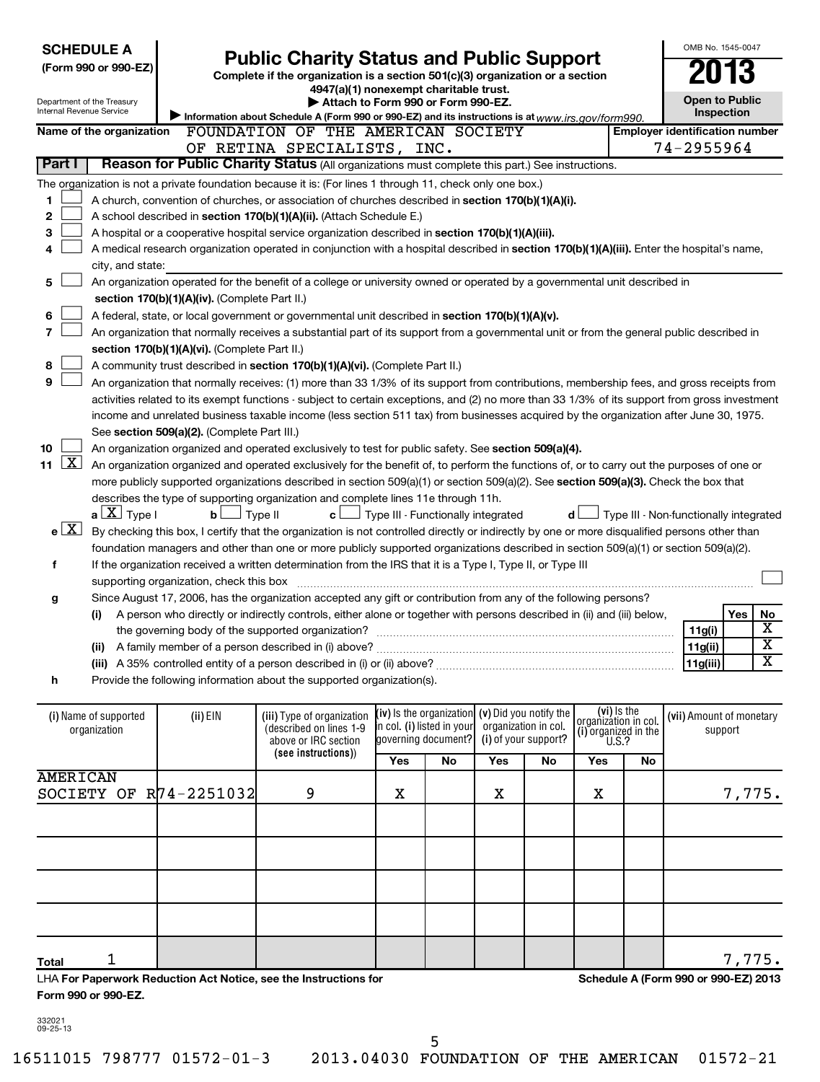| <b>SCHEDULE A</b><br>(Form 990 or 990-EZ)<br>Department of the Treasury<br>Internal Revenue Service |                                                                                                                                                                                                                           |                          |                                               | <b>Public Charity Status and Public Support</b><br>Complete if the organization is a section 501(c)(3) organization or a section<br>4947(a)(1) nonexempt charitable trust.<br>Attach to Form 990 or Form 990-EZ.<br>Information about Schedule A (Form 990 or 990-EZ) and its instructions is at $www.irs.gov/form990.$ |                                                                                                        |                                                        |     |    |         | OMB No. 1545-0047<br><b>Open to Public</b><br><b>Inspection</b> |                                        |        |                         |
|-----------------------------------------------------------------------------------------------------|---------------------------------------------------------------------------------------------------------------------------------------------------------------------------------------------------------------------------|--------------------------|-----------------------------------------------|-------------------------------------------------------------------------------------------------------------------------------------------------------------------------------------------------------------------------------------------------------------------------------------------------------------------------|--------------------------------------------------------------------------------------------------------|--------------------------------------------------------|-----|----|---------|-----------------------------------------------------------------|----------------------------------------|--------|-------------------------|
|                                                                                                     |                                                                                                                                                                                                                           | Name of the organization |                                               | FOUNDATION OF THE AMERICAN SOCIETY                                                                                                                                                                                                                                                                                      |                                                                                                        |                                                        |     |    |         |                                                                 | <b>Employer identification number</b>  |        |                         |
| Part I                                                                                              |                                                                                                                                                                                                                           |                          |                                               | OF RETINA SPECIALISTS, INC.<br>Reason for Public Charity Status (All organizations must complete this part.) See instructions.                                                                                                                                                                                          |                                                                                                        |                                                        |     |    |         |                                                                 | 74-2955964                             |        |                         |
|                                                                                                     |                                                                                                                                                                                                                           |                          |                                               |                                                                                                                                                                                                                                                                                                                         |                                                                                                        |                                                        |     |    |         |                                                                 |                                        |        |                         |
| 1                                                                                                   |                                                                                                                                                                                                                           |                          |                                               | The organization is not a private foundation because it is: (For lines 1 through 11, check only one box.)                                                                                                                                                                                                               |                                                                                                        |                                                        |     |    |         |                                                                 |                                        |        |                         |
| 2                                                                                                   |                                                                                                                                                                                                                           |                          |                                               | A church, convention of churches, or association of churches described in section 170(b)(1)(A)(i).                                                                                                                                                                                                                      |                                                                                                        |                                                        |     |    |         |                                                                 |                                        |        |                         |
| 3                                                                                                   |                                                                                                                                                                                                                           |                          |                                               | A school described in section 170(b)(1)(A)(ii). (Attach Schedule E.)<br>A hospital or a cooperative hospital service organization described in section 170(b)(1)(A)(iii).                                                                                                                                               |                                                                                                        |                                                        |     |    |         |                                                                 |                                        |        |                         |
| 4                                                                                                   |                                                                                                                                                                                                                           |                          |                                               | A medical research organization operated in conjunction with a hospital described in section 170(b)(1)(A)(iii). Enter the hospital's name,                                                                                                                                                                              |                                                                                                        |                                                        |     |    |         |                                                                 |                                        |        |                         |
|                                                                                                     |                                                                                                                                                                                                                           | city, and state:         |                                               |                                                                                                                                                                                                                                                                                                                         |                                                                                                        |                                                        |     |    |         |                                                                 |                                        |        |                         |
| 5                                                                                                   |                                                                                                                                                                                                                           |                          |                                               | An organization operated for the benefit of a college or university owned or operated by a governmental unit described in                                                                                                                                                                                               |                                                                                                        |                                                        |     |    |         |                                                                 |                                        |        |                         |
|                                                                                                     |                                                                                                                                                                                                                           |                          | section 170(b)(1)(A)(iv). (Complete Part II.) |                                                                                                                                                                                                                                                                                                                         |                                                                                                        |                                                        |     |    |         |                                                                 |                                        |        |                         |
| 6                                                                                                   |                                                                                                                                                                                                                           |                          |                                               | A federal, state, or local government or governmental unit described in section 170(b)(1)(A)(v).                                                                                                                                                                                                                        |                                                                                                        |                                                        |     |    |         |                                                                 |                                        |        |                         |
| $\overline{7}$                                                                                      |                                                                                                                                                                                                                           |                          |                                               | An organization that normally receives a substantial part of its support from a governmental unit or from the general public described in                                                                                                                                                                               |                                                                                                        |                                                        |     |    |         |                                                                 |                                        |        |                         |
|                                                                                                     |                                                                                                                                                                                                                           |                          | section 170(b)(1)(A)(vi). (Complete Part II.) |                                                                                                                                                                                                                                                                                                                         |                                                                                                        |                                                        |     |    |         |                                                                 |                                        |        |                         |
| 8                                                                                                   |                                                                                                                                                                                                                           |                          |                                               |                                                                                                                                                                                                                                                                                                                         |                                                                                                        |                                                        |     |    |         |                                                                 |                                        |        |                         |
| 9                                                                                                   | A community trust described in section 170(b)(1)(A)(vi). (Complete Part II.)<br>An organization that normally receives: (1) more than 33 1/3% of its support from contributions, membership fees, and gross receipts from |                          |                                               |                                                                                                                                                                                                                                                                                                                         |                                                                                                        |                                                        |     |    |         |                                                                 |                                        |        |                         |
|                                                                                                     | activities related to its exempt functions - subject to certain exceptions, and (2) no more than 33 1/3% of its support from gross investment                                                                             |                          |                                               |                                                                                                                                                                                                                                                                                                                         |                                                                                                        |                                                        |     |    |         |                                                                 |                                        |        |                         |
|                                                                                                     |                                                                                                                                                                                                                           |                          |                                               | income and unrelated business taxable income (less section 511 tax) from businesses acquired by the organization after June 30, 1975.                                                                                                                                                                                   |                                                                                                        |                                                        |     |    |         |                                                                 |                                        |        |                         |
|                                                                                                     |                                                                                                                                                                                                                           |                          | See section 509(a)(2). (Complete Part III.)   |                                                                                                                                                                                                                                                                                                                         |                                                                                                        |                                                        |     |    |         |                                                                 |                                        |        |                         |
| 10                                                                                                  |                                                                                                                                                                                                                           |                          |                                               | An organization organized and operated exclusively to test for public safety. See section 509(a)(4).                                                                                                                                                                                                                    |                                                                                                        |                                                        |     |    |         |                                                                 |                                        |        |                         |
| 11                                                                                                  | <u>x</u>                                                                                                                                                                                                                  |                          |                                               | An organization organized and operated exclusively for the benefit of, to perform the functions of, or to carry out the purposes of one or                                                                                                                                                                              |                                                                                                        |                                                        |     |    |         |                                                                 |                                        |        |                         |
|                                                                                                     |                                                                                                                                                                                                                           |                          |                                               | more publicly supported organizations described in section 509(a)(1) or section 509(a)(2). See section 509(a)(3). Check the box that                                                                                                                                                                                    |                                                                                                        |                                                        |     |    |         |                                                                 |                                        |        |                         |
|                                                                                                     |                                                                                                                                                                                                                           |                          |                                               | describes the type of supporting organization and complete lines 11e through 11h.                                                                                                                                                                                                                                       |                                                                                                        |                                                        |     |    |         |                                                                 |                                        |        |                         |
|                                                                                                     |                                                                                                                                                                                                                           | $a \perp X$ Type I       | $\mathbf{b}$ $\Box$ Type II                   |                                                                                                                                                                                                                                                                                                                         |                                                                                                        | $\mathbf{c}$ $\Box$ Type III - Functionally integrated |     |    | d L     |                                                                 | Type III - Non-functionally integrated |        |                         |
|                                                                                                     | $e^{\sqrt{X}}$                                                                                                                                                                                                            |                          |                                               | By checking this box, I certify that the organization is not controlled directly or indirectly by one or more disqualified persons other than                                                                                                                                                                           |                                                                                                        |                                                        |     |    |         |                                                                 |                                        |        |                         |
|                                                                                                     |                                                                                                                                                                                                                           |                          |                                               | foundation managers and other than one or more publicly supported organizations described in section 509(a)(1) or section 509(a)(2).                                                                                                                                                                                    |                                                                                                        |                                                        |     |    |         |                                                                 |                                        |        |                         |
| f                                                                                                   |                                                                                                                                                                                                                           |                          |                                               | If the organization received a written determination from the IRS that it is a Type I, Type II, or Type III                                                                                                                                                                                                             |                                                                                                        |                                                        |     |    |         |                                                                 |                                        |        |                         |
|                                                                                                     |                                                                                                                                                                                                                           |                          | supporting organization, check this box       |                                                                                                                                                                                                                                                                                                                         |                                                                                                        |                                                        |     |    |         |                                                                 |                                        |        |                         |
| g                                                                                                   |                                                                                                                                                                                                                           |                          |                                               | Since August 17, 2006, has the organization accepted any gift or contribution from any of the following persons?                                                                                                                                                                                                        |                                                                                                        |                                                        |     |    |         |                                                                 |                                        |        |                         |
|                                                                                                     |                                                                                                                                                                                                                           | (i)                      |                                               | A person who directly or indirectly controls, either alone or together with persons described in (ii) and (iii) below,                                                                                                                                                                                                  |                                                                                                        |                                                        |     |    |         |                                                                 |                                        | Yes    | No                      |
|                                                                                                     |                                                                                                                                                                                                                           |                          |                                               |                                                                                                                                                                                                                                                                                                                         |                                                                                                        |                                                        |     |    |         |                                                                 | 11g(i)                                 |        | x                       |
|                                                                                                     |                                                                                                                                                                                                                           |                          |                                               |                                                                                                                                                                                                                                                                                                                         |                                                                                                        |                                                        |     |    |         |                                                                 | 11g(ii)                                |        | $\overline{\mathtt{x}}$ |
|                                                                                                     |                                                                                                                                                                                                                           |                          |                                               |                                                                                                                                                                                                                                                                                                                         |                                                                                                        |                                                        |     |    |         |                                                                 | 11g(iii)                               |        | x                       |
| h                                                                                                   |                                                                                                                                                                                                                           |                          |                                               | Provide the following information about the supported organization(s).                                                                                                                                                                                                                                                  |                                                                                                        |                                                        |     |    |         |                                                                 |                                        |        |                         |
|                                                                                                     |                                                                                                                                                                                                                           |                          |                                               |                                                                                                                                                                                                                                                                                                                         |                                                                                                        |                                                        |     |    |         |                                                                 |                                        |        |                         |
|                                                                                                     |                                                                                                                                                                                                                           | (i) Name of supported    | $(ii)$ EIN                                    | (vi) is the<br>$(iv)$ is the organization $(v)$ Did you notify the<br>(iii) Type of organization<br>(vii) Amount of monetary<br>organizátion in col.<br>in col. (i) listed in your<br>organization in col.                                                                                                              |                                                                                                        |                                                        |     |    |         |                                                                 |                                        |        |                         |
|                                                                                                     | organization                                                                                                                                                                                                              |                          |                                               | above or IRC section                                                                                                                                                                                                                                                                                                    | (described on lines 1-9<br>(i) organized in the $U.S.?$<br>(i) of your support?<br>governing document? |                                                        |     |    | support |                                                                 |                                        |        |                         |
|                                                                                                     |                                                                                                                                                                                                                           |                          |                                               | (see instructions))                                                                                                                                                                                                                                                                                                     | Yes                                                                                                    | No                                                     | Yes | No | Yes     | No                                                              |                                        |        |                         |
|                                                                                                     |                                                                                                                                                                                                                           | <b>AMERICAN</b>          |                                               |                                                                                                                                                                                                                                                                                                                         |                                                                                                        |                                                        |     |    |         |                                                                 |                                        |        |                         |
|                                                                                                     |                                                                                                                                                                                                                           |                          | SOCIETY OF R74-2251032                        | 9                                                                                                                                                                                                                                                                                                                       | Χ                                                                                                      |                                                        | х   |    | х       |                                                                 |                                        | 7,775. |                         |

| LHA For Paperwork Reduction Act Notice, see the Instructions for |
|------------------------------------------------------------------|
| Form 990 or 990-EZ.                                              |

**Schedule A (Form 990 or 990-EZ) 2013**

332021 09-25-13

**Total**

1 7,775.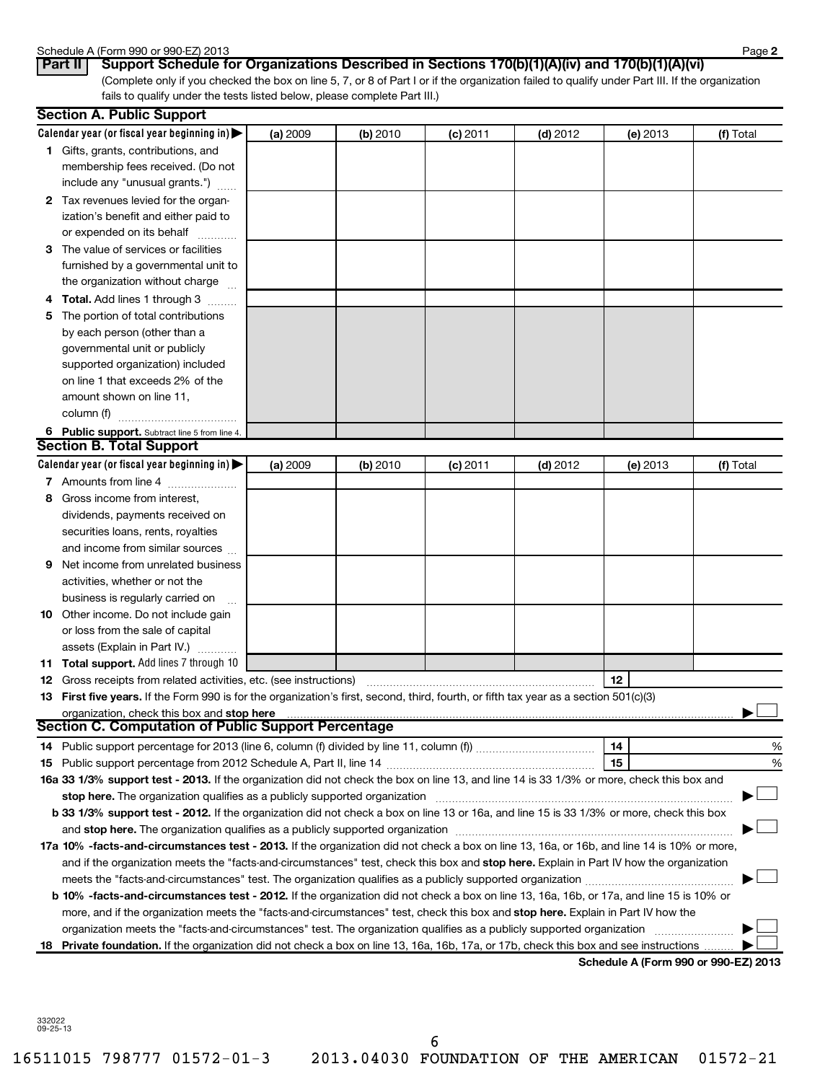#### Schedule A (Form 990 or 990-EZ) 2013

| $Dor+II$ | $P_{11}$ |  |
|----------|----------|--|

(Complete only if you checked the box on line 5, 7, or 8 of Part I or if the organization failed to qualify under Part III. If the organization fails to qualify under the tests listed below, please complete Part III.) Part II | Support Schedule for Organizations Described in Sections 170(b)(1)(A)(iv) and 170(b)(1)(A)(vi)

| Calendar year (or fiscal year beginning in) $\blacktriangleright$                                                                                                                                                              | (a) 2009 | (b) 2010 | $(c)$ 2011 | $(d)$ 2012 | (e) 2013 | (f) Total                            |
|--------------------------------------------------------------------------------------------------------------------------------------------------------------------------------------------------------------------------------|----------|----------|------------|------------|----------|--------------------------------------|
| <b>1</b> Gifts, grants, contributions, and                                                                                                                                                                                     |          |          |            |            |          |                                      |
| membership fees received. (Do not                                                                                                                                                                                              |          |          |            |            |          |                                      |
| include any "unusual grants.")                                                                                                                                                                                                 |          |          |            |            |          |                                      |
| 2 Tax revenues levied for the organ-                                                                                                                                                                                           |          |          |            |            |          |                                      |
| ization's benefit and either paid to                                                                                                                                                                                           |          |          |            |            |          |                                      |
| or expended on its behalf                                                                                                                                                                                                      |          |          |            |            |          |                                      |
| 3 The value of services or facilities                                                                                                                                                                                          |          |          |            |            |          |                                      |
| furnished by a governmental unit to                                                                                                                                                                                            |          |          |            |            |          |                                      |
| the organization without charge                                                                                                                                                                                                |          |          |            |            |          |                                      |
| <b>4 Total.</b> Add lines 1 through 3                                                                                                                                                                                          |          |          |            |            |          |                                      |
| 5 The portion of total contributions                                                                                                                                                                                           |          |          |            |            |          |                                      |
| by each person (other than a                                                                                                                                                                                                   |          |          |            |            |          |                                      |
| governmental unit or publicly                                                                                                                                                                                                  |          |          |            |            |          |                                      |
| supported organization) included                                                                                                                                                                                               |          |          |            |            |          |                                      |
| on line 1 that exceeds 2% of the                                                                                                                                                                                               |          |          |            |            |          |                                      |
| amount shown on line 11,                                                                                                                                                                                                       |          |          |            |            |          |                                      |
| column (f)                                                                                                                                                                                                                     |          |          |            |            |          |                                      |
| 6 Public support. Subtract line 5 from line 4.                                                                                                                                                                                 |          |          |            |            |          |                                      |
| <b>Section B. Total Support</b>                                                                                                                                                                                                |          |          |            |            |          |                                      |
| Calendar year (or fiscal year beginning in) $\blacktriangleright$                                                                                                                                                              | (a) 2009 | (b) 2010 | $(c)$ 2011 | $(d)$ 2012 | (e) 2013 | (f) Total                            |
| 7 Amounts from line 4                                                                                                                                                                                                          |          |          |            |            |          |                                      |
| Gross income from interest,<br>8                                                                                                                                                                                               |          |          |            |            |          |                                      |
| dividends, payments received on                                                                                                                                                                                                |          |          |            |            |          |                                      |
| securities loans, rents, royalties                                                                                                                                                                                             |          |          |            |            |          |                                      |
| and income from similar sources                                                                                                                                                                                                |          |          |            |            |          |                                      |
| Net income from unrelated business<br>9                                                                                                                                                                                        |          |          |            |            |          |                                      |
| activities, whether or not the                                                                                                                                                                                                 |          |          |            |            |          |                                      |
| business is regularly carried on                                                                                                                                                                                               |          |          |            |            |          |                                      |
| 10 Other income. Do not include gain                                                                                                                                                                                           |          |          |            |            |          |                                      |
| or loss from the sale of capital                                                                                                                                                                                               |          |          |            |            |          |                                      |
| assets (Explain in Part IV.)                                                                                                                                                                                                   |          |          |            |            |          |                                      |
| 11 Total support. Add lines 7 through 10                                                                                                                                                                                       |          |          |            |            |          |                                      |
| <b>12</b> Gross receipts from related activities, etc. (see instructions)                                                                                                                                                      |          |          |            |            | 12       |                                      |
| 13 First five years. If the Form 990 is for the organization's first, second, third, fourth, or fifth tax year as a section 501(c)(3)                                                                                          |          |          |            |            |          |                                      |
|                                                                                                                                                                                                                                |          |          |            |            |          |                                      |
| <b>Section C. Computation of Public Support Percentage</b>                                                                                                                                                                     |          |          |            |            |          |                                      |
|                                                                                                                                                                                                                                |          |          |            |            | 14       | %                                    |
|                                                                                                                                                                                                                                |          |          |            |            | 15       | %                                    |
| 16a 33 1/3% support test - 2013. If the organization did not check the box on line 13, and line 14 is 33 1/3% or more, check this box and                                                                                      |          |          |            |            |          |                                      |
|                                                                                                                                                                                                                                |          |          |            |            |          |                                      |
| b 33 1/3% support test - 2012. If the organization did not check a box on line 13 or 16a, and line 15 is 33 1/3% or more, check this box                                                                                       |          |          |            |            |          |                                      |
| and stop here. The organization qualifies as a publicly supported organization [11] manuscription [11] and stop here. The organization [11] and stop here. The organization [11] and stop here. The organization [11] and stop |          |          |            |            |          |                                      |
| 17a 10% -facts-and-circumstances test - 2013. If the organization did not check a box on line 13, 16a, or 16b, and line 14 is 10% or more,                                                                                     |          |          |            |            |          |                                      |
| and if the organization meets the "facts-and-circumstances" test, check this box and stop here. Explain in Part IV how the organization                                                                                        |          |          |            |            |          |                                      |
|                                                                                                                                                                                                                                |          |          |            |            |          |                                      |
| b 10% -facts-and-circumstances test - 2012. If the organization did not check a box on line 13, 16a, 16b, or 17a, and line 15 is 10% or                                                                                        |          |          |            |            |          |                                      |
| more, and if the organization meets the "facts-and-circumstances" test, check this box and stop here. Explain in Part IV how the                                                                                               |          |          |            |            |          |                                      |
| organization meets the "facts-and-circumstances" test. The organization qualifies as a publicly supported organization                                                                                                         |          |          |            |            |          |                                      |
| 18 Private foundation. If the organization did not check a box on line 13, 16a, 16b, 17a, or 17b, check this box and see instructions                                                                                          |          |          |            |            |          | Schodule A (Form 990 or 990-F7) 2013 |

**Schedule A (Form 990 or 990-EZ) 2013**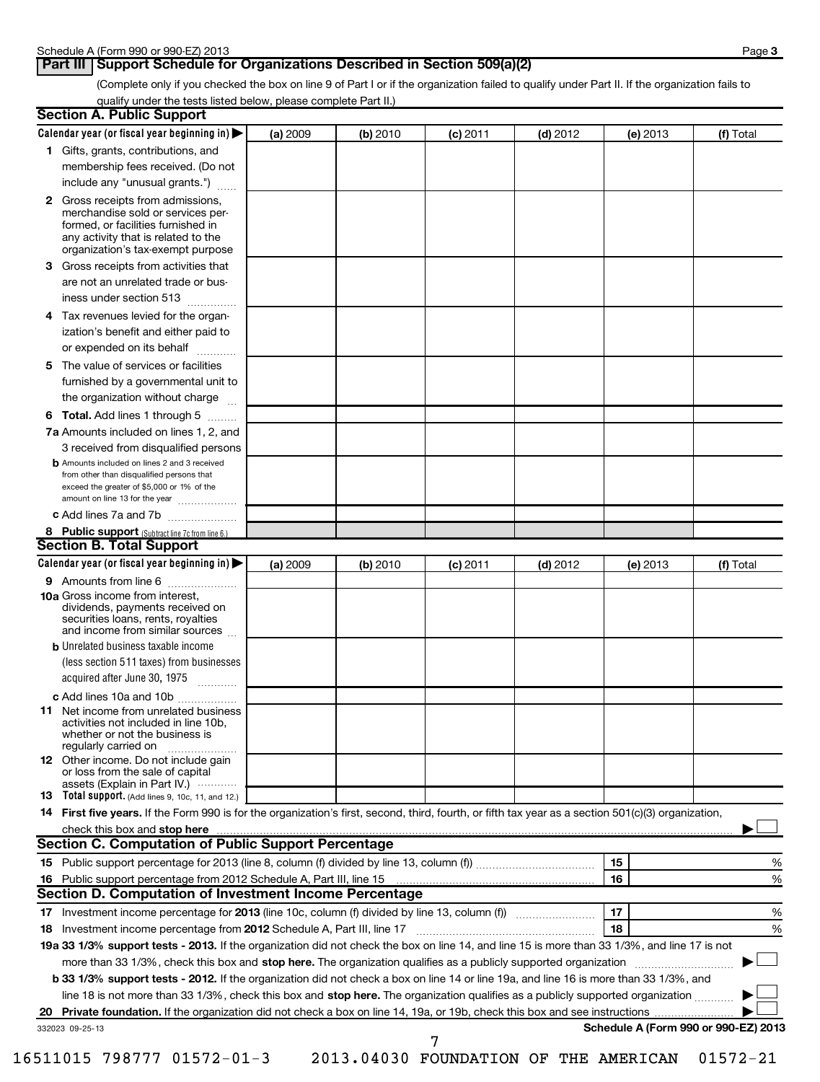# **Part III Support Schedule for Organizations Described in Section 509(a)(2)**

(Complete only if you checked the box on line 9 of Part I or if the organization failed to qualify under Part II. If the organization fails to qualify under the tests listed below, please complete Part II.)

| <b>Section A. Public Support</b>                                                                                                                                                                                               |          |          |            |            |          |                                      |
|--------------------------------------------------------------------------------------------------------------------------------------------------------------------------------------------------------------------------------|----------|----------|------------|------------|----------|--------------------------------------|
| Calendar year (or fiscal year beginning in)                                                                                                                                                                                    | (a) 2009 | (b) 2010 | (c) 2011   | $(d)$ 2012 | (e) 2013 | (f) Total                            |
| 1 Gifts, grants, contributions, and                                                                                                                                                                                            |          |          |            |            |          |                                      |
| membership fees received. (Do not                                                                                                                                                                                              |          |          |            |            |          |                                      |
| include any "unusual grants.")                                                                                                                                                                                                 |          |          |            |            |          |                                      |
| <b>2</b> Gross receipts from admissions,<br>merchandise sold or services per-<br>formed, or facilities furnished in<br>any activity that is related to the<br>organization's tax-exempt purpose                                |          |          |            |            |          |                                      |
| 3 Gross receipts from activities that<br>are not an unrelated trade or bus-                                                                                                                                                    |          |          |            |            |          |                                      |
| iness under section 513                                                                                                                                                                                                        |          |          |            |            |          |                                      |
| 4 Tax revenues levied for the organ-<br>ization's benefit and either paid to<br>or expended on its behalf                                                                                                                      |          |          |            |            |          |                                      |
| 5 The value of services or facilities                                                                                                                                                                                          |          |          |            |            |          |                                      |
| furnished by a governmental unit to<br>the organization without charge                                                                                                                                                         |          |          |            |            |          |                                      |
| <b>6 Total.</b> Add lines 1 through 5                                                                                                                                                                                          |          |          |            |            |          |                                      |
| 7a Amounts included on lines 1, 2, and<br>3 received from disqualified persons                                                                                                                                                 |          |          |            |            |          |                                      |
| <b>b</b> Amounts included on lines 2 and 3 received<br>from other than disqualified persons that<br>exceed the greater of \$5,000 or 1% of the<br>amount on line 13 for the year                                               |          |          |            |            |          |                                      |
| c Add lines 7a and 7b                                                                                                                                                                                                          |          |          |            |            |          |                                      |
| 8 Public support (Subtract line 7c from line 6.)                                                                                                                                                                               |          |          |            |            |          |                                      |
| <b>Section B. Total Support</b>                                                                                                                                                                                                |          |          |            |            |          |                                      |
| Calendar year (or fiscal year beginning in)                                                                                                                                                                                    | (a) 2009 | (b) 2010 | $(c)$ 2011 | $(d)$ 2012 | (e) 2013 | (f) Total                            |
| <b>9</b> Amounts from line 6                                                                                                                                                                                                   |          |          |            |            |          |                                      |
| <b>10a</b> Gross income from interest,<br>dividends, payments received on<br>securities loans, rents, royalties<br>and income from similar sources                                                                             |          |          |            |            |          |                                      |
| <b>b</b> Unrelated business taxable income                                                                                                                                                                                     |          |          |            |            |          |                                      |
| (less section 511 taxes) from businesses<br>acquired after June 30, 1975<br>$\overline{\phantom{a}}$                                                                                                                           |          |          |            |            |          |                                      |
| c Add lines 10a and 10b                                                                                                                                                                                                        |          |          |            |            |          |                                      |
| <b>11</b> Net income from unrelated business<br>activities not included in line 10b,<br>whether or not the business is<br>regularly carried on                                                                                 |          |          |            |            |          |                                      |
| 12 Other income. Do not include gain<br>or loss from the sale of capital<br>assets (Explain in Part IV.)                                                                                                                       |          |          |            |            |          |                                      |
| <b>13</b> Total support. (Add lines 9, 10c, 11, and 12.)                                                                                                                                                                       |          |          |            |            |          |                                      |
| 14 First five years. If the Form 990 is for the organization's first, second, third, fourth, or fifth tax year as a section 501(c)(3) organization,                                                                            |          |          |            |            |          |                                      |
| check this box and stop here with the content of the content of the state of the content of the state of the state of the content of the content of the content of the content of the content of the content of the content of |          |          |            |            |          |                                      |
| <b>Section C. Computation of Public Support Percentage</b>                                                                                                                                                                     |          |          |            |            |          |                                      |
|                                                                                                                                                                                                                                |          |          |            |            | 15       | %                                    |
|                                                                                                                                                                                                                                |          |          |            |            | 16       | %                                    |
| Section D. Computation of Investment Income Percentage                                                                                                                                                                         |          |          |            |            |          |                                      |
|                                                                                                                                                                                                                                |          |          |            |            | 17<br>18 | %                                    |
| 18 Investment income percentage from 2012 Schedule A, Part III, line 17<br>19a 33 1/3% support tests - 2013. If the organization did not check the box on line 14, and line 15 is more than 33 1/3%, and line 17 is not        |          |          |            |            |          | %                                    |
|                                                                                                                                                                                                                                |          |          |            |            |          |                                      |
| more than 33 1/3%, check this box and stop here. The organization qualifies as a publicly supported organization                                                                                                               |          |          |            |            |          |                                      |
| b 33 1/3% support tests - 2012. If the organization did not check a box on line 14 or line 19a, and line 16 is more than 33 1/3%, and                                                                                          |          |          |            |            |          |                                      |
| line 18 is not more than 33 1/3%, check this box and stop here. The organization qualifies as a publicly supported organization                                                                                                |          |          |            |            |          |                                      |
| 20<br>332023 09-25-13                                                                                                                                                                                                          |          |          |            |            |          | Schedule A (Form 990 or 990-EZ) 2013 |
|                                                                                                                                                                                                                                |          |          | 7          |            |          |                                      |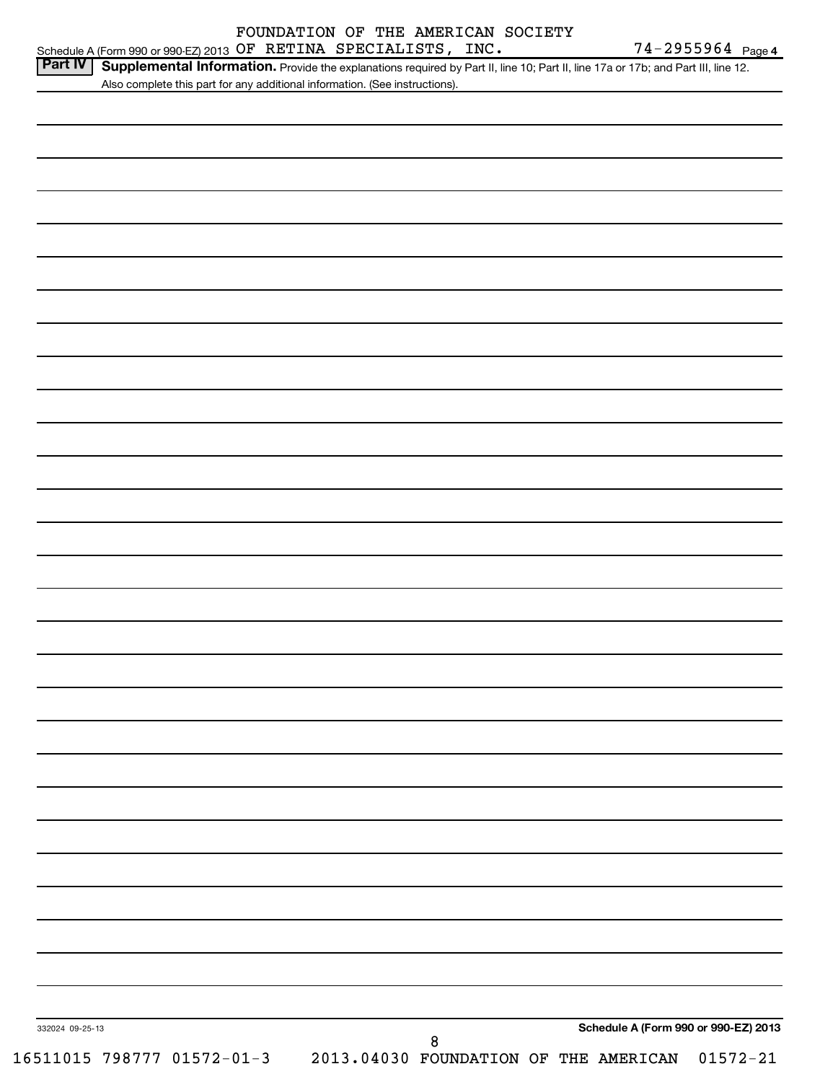|                 | Schedule A (Form 990 or 990-EZ) 2013 OF RETINA SPECIALISTS, INC.            |   |                                                                                                                                   | 74-2955964 Page 4 |
|-----------------|-----------------------------------------------------------------------------|---|-----------------------------------------------------------------------------------------------------------------------------------|-------------------|
| <b>Part IV</b>  |                                                                             |   | Supplemental Information. Provide the explanations required by Part II, line 10; Part II, line 17a or 17b; and Part III, line 12. |                   |
|                 | Also complete this part for any additional information. (See instructions). |   |                                                                                                                                   |                   |
|                 |                                                                             |   |                                                                                                                                   |                   |
|                 |                                                                             |   |                                                                                                                                   |                   |
|                 |                                                                             |   |                                                                                                                                   |                   |
|                 |                                                                             |   |                                                                                                                                   |                   |
|                 |                                                                             |   |                                                                                                                                   |                   |
|                 |                                                                             |   |                                                                                                                                   |                   |
|                 |                                                                             |   |                                                                                                                                   |                   |
|                 |                                                                             |   |                                                                                                                                   |                   |
|                 |                                                                             |   |                                                                                                                                   |                   |
|                 |                                                                             |   |                                                                                                                                   |                   |
|                 |                                                                             |   |                                                                                                                                   |                   |
|                 |                                                                             |   |                                                                                                                                   |                   |
|                 |                                                                             |   |                                                                                                                                   |                   |
|                 |                                                                             |   |                                                                                                                                   |                   |
|                 |                                                                             |   |                                                                                                                                   |                   |
|                 |                                                                             |   |                                                                                                                                   |                   |
|                 |                                                                             |   |                                                                                                                                   |                   |
|                 |                                                                             |   |                                                                                                                                   |                   |
|                 |                                                                             |   |                                                                                                                                   |                   |
|                 |                                                                             |   |                                                                                                                                   |                   |
|                 |                                                                             |   |                                                                                                                                   |                   |
|                 |                                                                             |   |                                                                                                                                   |                   |
|                 |                                                                             |   |                                                                                                                                   |                   |
|                 |                                                                             |   |                                                                                                                                   |                   |
|                 |                                                                             |   |                                                                                                                                   |                   |
|                 |                                                                             |   |                                                                                                                                   |                   |
|                 |                                                                             |   |                                                                                                                                   |                   |
|                 |                                                                             |   |                                                                                                                                   |                   |
|                 |                                                                             |   |                                                                                                                                   |                   |
|                 |                                                                             |   |                                                                                                                                   |                   |
|                 |                                                                             |   |                                                                                                                                   |                   |
|                 |                                                                             |   |                                                                                                                                   |                   |
|                 |                                                                             |   |                                                                                                                                   |                   |
|                 |                                                                             |   |                                                                                                                                   |                   |
|                 |                                                                             |   |                                                                                                                                   |                   |
|                 |                                                                             |   |                                                                                                                                   |                   |
|                 |                                                                             |   |                                                                                                                                   |                   |
|                 |                                                                             |   |                                                                                                                                   |                   |
|                 |                                                                             |   |                                                                                                                                   |                   |
|                 |                                                                             |   |                                                                                                                                   |                   |
|                 |                                                                             |   |                                                                                                                                   |                   |
|                 |                                                                             |   |                                                                                                                                   |                   |
|                 |                                                                             |   |                                                                                                                                   |                   |
| 332024 09-25-13 |                                                                             |   | Schedule A (Form 990 or 990-EZ) 2013                                                                                              |                   |
|                 |                                                                             | 8 |                                                                                                                                   |                   |
|                 |                                                                             |   | 16511015 798777 01572-01-3 2013.04030 FOUNDATION OF THE AMERICAN                                                                  | $01572 - 21$      |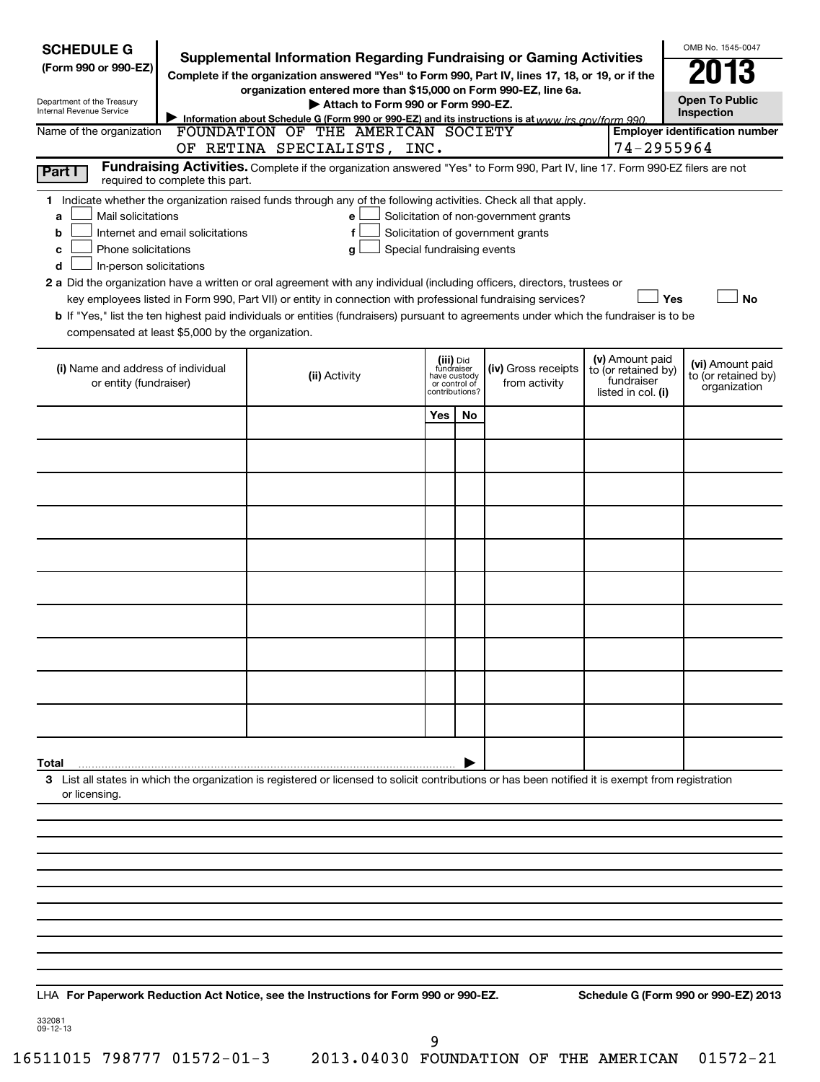| <b>SCHEDULE G</b>                                                                        |                                                                                                                                                                                                                                                                                          | <b>Supplemental Information Regarding Fundraising or Gaming Activities</b>                                                                                                                                                                                                                                                                                                                               |     |    |                                                                            |                                                         |            | OMB No. 1545-0047                    |
|------------------------------------------------------------------------------------------|------------------------------------------------------------------------------------------------------------------------------------------------------------------------------------------------------------------------------------------------------------------------------------------|----------------------------------------------------------------------------------------------------------------------------------------------------------------------------------------------------------------------------------------------------------------------------------------------------------------------------------------------------------------------------------------------------------|-----|----|----------------------------------------------------------------------------|---------------------------------------------------------|------------|--------------------------------------|
| (Form 990 or 990-EZ)                                                                     |                                                                                                                                                                                                                                                                                          | Complete if the organization answered "Yes" to Form 990, Part IV, lines 17, 18, or 19, or if the                                                                                                                                                                                                                                                                                                         |     |    |                                                                            |                                                         |            |                                      |
| Department of the Treasury<br>Internal Revenue Service                                   |                                                                                                                                                                                                                                                                                          | organization entered more than \$15,000 on Form 990-EZ, line 6a.<br>Attach to Form 990 or Form 990-EZ.                                                                                                                                                                                                                                                                                                   |     |    |                                                                            |                                                         |            | <b>Open To Public</b>                |
| Name of the organization                                                                 | Information about Schedule G (Form 990 or 990-EZ) and its instructions is at www.jrs.gov/form 990                                                                                                                                                                                        | Inspection<br><b>Employer identification number</b>                                                                                                                                                                                                                                                                                                                                                      |     |    |                                                                            |                                                         |            |                                      |
|                                                                                          |                                                                                                                                                                                                                                                                                          | FOUNDATION OF THE AMERICAN SOCIETY<br>OF RETINA SPECIALISTS, INC.                                                                                                                                                                                                                                                                                                                                        |     |    |                                                                            |                                                         | 74-2955964 |                                      |
| Part I                                                                                   | required to complete this part.                                                                                                                                                                                                                                                          | Fundraising Activities. Complete if the organization answered "Yes" to Form 990, Part IV, line 17. Form 990-EZ filers are not                                                                                                                                                                                                                                                                            |     |    |                                                                            |                                                         |            |                                      |
| Mail solicitations<br>a<br>b<br>Phone solicitations<br>с<br>In-person solicitations<br>d | Internet and email solicitations                                                                                                                                                                                                                                                         | 1 Indicate whether the organization raised funds through any of the following activities. Check all that apply.<br>e<br>f<br>Special fundraising events<br>g<br>2 a Did the organization have a written or oral agreement with any individual (including officers, directors, trustees or<br>key employees listed in Form 990, Part VII) or entity in connection with professional fundraising services? |     |    | Solicitation of non-government grants<br>Solicitation of government grants |                                                         | Yes        | No                                   |
| compensated at least \$5,000 by the organization.                                        |                                                                                                                                                                                                                                                                                          | b If "Yes," list the ten highest paid individuals or entities (fundraisers) pursuant to agreements under which the fundraiser is to be                                                                                                                                                                                                                                                                   |     |    |                                                                            |                                                         |            |                                      |
|                                                                                          | (v) Amount paid<br>(iii) Did<br>fundraiser<br>(i) Name and address of individual<br><b>(iv)</b> Gross receipts<br>to (or retained by)<br>(ii) Activity<br>have custody<br>fundraiser<br>from activity<br>or entity (fundraiser)<br>or control of<br>contributions?<br>listed in col. (i) |                                                                                                                                                                                                                                                                                                                                                                                                          |     |    |                                                                            | (vi) Amount paid<br>to (or retained by)<br>organization |            |                                      |
|                                                                                          |                                                                                                                                                                                                                                                                                          |                                                                                                                                                                                                                                                                                                                                                                                                          | Yes | No |                                                                            |                                                         |            |                                      |
|                                                                                          |                                                                                                                                                                                                                                                                                          |                                                                                                                                                                                                                                                                                                                                                                                                          |     |    |                                                                            |                                                         |            |                                      |
|                                                                                          |                                                                                                                                                                                                                                                                                          |                                                                                                                                                                                                                                                                                                                                                                                                          |     |    |                                                                            |                                                         |            |                                      |
|                                                                                          |                                                                                                                                                                                                                                                                                          |                                                                                                                                                                                                                                                                                                                                                                                                          |     |    |                                                                            |                                                         |            |                                      |
|                                                                                          |                                                                                                                                                                                                                                                                                          |                                                                                                                                                                                                                                                                                                                                                                                                          |     |    |                                                                            |                                                         |            |                                      |
|                                                                                          |                                                                                                                                                                                                                                                                                          |                                                                                                                                                                                                                                                                                                                                                                                                          |     |    |                                                                            |                                                         |            |                                      |
|                                                                                          |                                                                                                                                                                                                                                                                                          |                                                                                                                                                                                                                                                                                                                                                                                                          |     |    |                                                                            |                                                         |            |                                      |
|                                                                                          |                                                                                                                                                                                                                                                                                          |                                                                                                                                                                                                                                                                                                                                                                                                          |     |    |                                                                            |                                                         |            |                                      |
|                                                                                          |                                                                                                                                                                                                                                                                                          |                                                                                                                                                                                                                                                                                                                                                                                                          |     |    |                                                                            |                                                         |            |                                      |
|                                                                                          |                                                                                                                                                                                                                                                                                          |                                                                                                                                                                                                                                                                                                                                                                                                          |     |    |                                                                            |                                                         |            |                                      |
| Total                                                                                    |                                                                                                                                                                                                                                                                                          |                                                                                                                                                                                                                                                                                                                                                                                                          |     |    |                                                                            |                                                         |            |                                      |
| or licensing.                                                                            |                                                                                                                                                                                                                                                                                          | 3 List all states in which the organization is registered or licensed to solicit contributions or has been notified it is exempt from registration                                                                                                                                                                                                                                                       |     |    |                                                                            |                                                         |            |                                      |
|                                                                                          |                                                                                                                                                                                                                                                                                          |                                                                                                                                                                                                                                                                                                                                                                                                          |     |    |                                                                            |                                                         |            |                                      |
|                                                                                          |                                                                                                                                                                                                                                                                                          |                                                                                                                                                                                                                                                                                                                                                                                                          |     |    |                                                                            |                                                         |            |                                      |
|                                                                                          |                                                                                                                                                                                                                                                                                          |                                                                                                                                                                                                                                                                                                                                                                                                          |     |    |                                                                            |                                                         |            |                                      |
|                                                                                          |                                                                                                                                                                                                                                                                                          |                                                                                                                                                                                                                                                                                                                                                                                                          |     |    |                                                                            |                                                         |            |                                      |
|                                                                                          |                                                                                                                                                                                                                                                                                          |                                                                                                                                                                                                                                                                                                                                                                                                          |     |    |                                                                            |                                                         |            |                                      |
|                                                                                          |                                                                                                                                                                                                                                                                                          |                                                                                                                                                                                                                                                                                                                                                                                                          |     |    |                                                                            |                                                         |            |                                      |
|                                                                                          |                                                                                                                                                                                                                                                                                          |                                                                                                                                                                                                                                                                                                                                                                                                          |     |    |                                                                            |                                                         |            |                                      |
|                                                                                          |                                                                                                                                                                                                                                                                                          |                                                                                                                                                                                                                                                                                                                                                                                                          |     |    |                                                                            |                                                         |            |                                      |
| 332081                                                                                   |                                                                                                                                                                                                                                                                                          | LHA For Paperwork Reduction Act Notice, see the Instructions for Form 990 or 990-EZ.                                                                                                                                                                                                                                                                                                                     |     |    |                                                                            |                                                         |            | Schedule G (Form 990 or 990-EZ) 2013 |

332081 09-12-13

9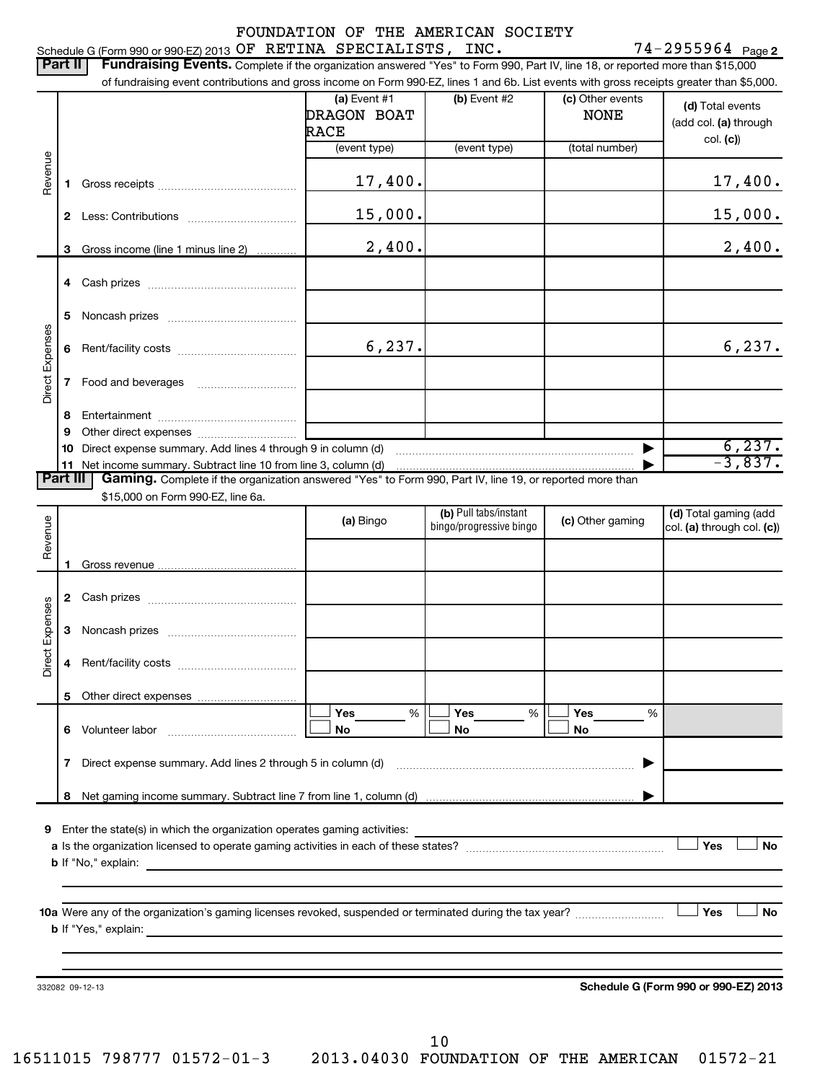# FOUNDATION OF THE AMERICAN SOCIETY

## Schedule G (Form 990 or 990-EZ) 2013 **OF RETINA SPECIALISTS, INC.** 74-2955964 <sub>Page 2</sub>

| $(b)$ Event #2<br>$(a)$ Event #1<br>(c) Other events<br><b>DRAGON BOAT</b><br><b>NONE</b><br><b>RACE</b><br>col. (c)<br>(total number)<br>(event type)<br>(event type)<br>Revenue<br>17,400.<br>1<br>15,000.<br>$\mathbf{2}$<br>2,400.<br>Gross income (line 1 minus line 2)<br>3<br>5<br>Noncash prizes [11,11,11,11,11,11,11,11,11,11,11,11]<br>Direct Expenses<br>6, 237.<br>6<br>7<br>8<br>9<br>10<br>11<br>Gaming. Complete if the organization answered "Yes" to Form 990, Part IV, line 19, or reported more than<br>Part III I<br>\$15,000 on Form 990-EZ, line 6a.<br>(b) Pull tabs/instant<br>Revenue<br>(c) Other gaming<br>(a) Bingo<br>bingo/progressive bingo<br>1<br>$\mathbf{2}$<br>Direct Expenses<br>3<br>4<br>5<br>Yes<br>Yes<br>Yes<br>%<br>%<br>%<br>Volunteer labor<br>No<br>No<br>No<br>6<br>7 Direct expense summary. Add lines 2 through 5 in column (d)<br>8<br>9 Enter the state(s) in which the organization operates gaming activities:<br>Yes<br><b>b</b> If "No," explain:<br>Yes<br>10a Were any of the organization's gaming licenses revoked, suspended or terminated during the tax year? | Part II | <b>Fundraising Events.</b> Complete if the organization answered "Yes" to Form 990, Part IV, line 18, or reported more than \$15,000<br>of fundraising event contributions and gross income on Form 990-EZ, lines 1 and 6b. List events with gross receipts greater than \$5,000. |  |  |  |                                           |  |
|------------------------------------------------------------------------------------------------------------------------------------------------------------------------------------------------------------------------------------------------------------------------------------------------------------------------------------------------------------------------------------------------------------------------------------------------------------------------------------------------------------------------------------------------------------------------------------------------------------------------------------------------------------------------------------------------------------------------------------------------------------------------------------------------------------------------------------------------------------------------------------------------------------------------------------------------------------------------------------------------------------------------------------------------------------------------------------------------------------------------------|---------|-----------------------------------------------------------------------------------------------------------------------------------------------------------------------------------------------------------------------------------------------------------------------------------|--|--|--|-------------------------------------------|--|
|                                                                                                                                                                                                                                                                                                                                                                                                                                                                                                                                                                                                                                                                                                                                                                                                                                                                                                                                                                                                                                                                                                                              |         |                                                                                                                                                                                                                                                                                   |  |  |  | (d) Total events<br>(add col. (a) through |  |
|                                                                                                                                                                                                                                                                                                                                                                                                                                                                                                                                                                                                                                                                                                                                                                                                                                                                                                                                                                                                                                                                                                                              |         |                                                                                                                                                                                                                                                                                   |  |  |  |                                           |  |
|                                                                                                                                                                                                                                                                                                                                                                                                                                                                                                                                                                                                                                                                                                                                                                                                                                                                                                                                                                                                                                                                                                                              |         |                                                                                                                                                                                                                                                                                   |  |  |  | 17,400.                                   |  |
|                                                                                                                                                                                                                                                                                                                                                                                                                                                                                                                                                                                                                                                                                                                                                                                                                                                                                                                                                                                                                                                                                                                              |         |                                                                                                                                                                                                                                                                                   |  |  |  | 15,000.                                   |  |
|                                                                                                                                                                                                                                                                                                                                                                                                                                                                                                                                                                                                                                                                                                                                                                                                                                                                                                                                                                                                                                                                                                                              |         |                                                                                                                                                                                                                                                                                   |  |  |  | 2,400.                                    |  |
|                                                                                                                                                                                                                                                                                                                                                                                                                                                                                                                                                                                                                                                                                                                                                                                                                                                                                                                                                                                                                                                                                                                              |         |                                                                                                                                                                                                                                                                                   |  |  |  |                                           |  |
|                                                                                                                                                                                                                                                                                                                                                                                                                                                                                                                                                                                                                                                                                                                                                                                                                                                                                                                                                                                                                                                                                                                              |         |                                                                                                                                                                                                                                                                                   |  |  |  |                                           |  |
|                                                                                                                                                                                                                                                                                                                                                                                                                                                                                                                                                                                                                                                                                                                                                                                                                                                                                                                                                                                                                                                                                                                              |         |                                                                                                                                                                                                                                                                                   |  |  |  | 6,237.                                    |  |
|                                                                                                                                                                                                                                                                                                                                                                                                                                                                                                                                                                                                                                                                                                                                                                                                                                                                                                                                                                                                                                                                                                                              |         |                                                                                                                                                                                                                                                                                   |  |  |  |                                           |  |
|                                                                                                                                                                                                                                                                                                                                                                                                                                                                                                                                                                                                                                                                                                                                                                                                                                                                                                                                                                                                                                                                                                                              |         |                                                                                                                                                                                                                                                                                   |  |  |  |                                           |  |
|                                                                                                                                                                                                                                                                                                                                                                                                                                                                                                                                                                                                                                                                                                                                                                                                                                                                                                                                                                                                                                                                                                                              |         |                                                                                                                                                                                                                                                                                   |  |  |  |                                           |  |
|                                                                                                                                                                                                                                                                                                                                                                                                                                                                                                                                                                                                                                                                                                                                                                                                                                                                                                                                                                                                                                                                                                                              |         |                                                                                                                                                                                                                                                                                   |  |  |  | $\frac{6,237.}{-3,837.}$                  |  |
|                                                                                                                                                                                                                                                                                                                                                                                                                                                                                                                                                                                                                                                                                                                                                                                                                                                                                                                                                                                                                                                                                                                              |         |                                                                                                                                                                                                                                                                                   |  |  |  |                                           |  |
|                                                                                                                                                                                                                                                                                                                                                                                                                                                                                                                                                                                                                                                                                                                                                                                                                                                                                                                                                                                                                                                                                                                              |         |                                                                                                                                                                                                                                                                                   |  |  |  |                                           |  |
|                                                                                                                                                                                                                                                                                                                                                                                                                                                                                                                                                                                                                                                                                                                                                                                                                                                                                                                                                                                                                                                                                                                              |         |                                                                                                                                                                                                                                                                                   |  |  |  | (d) Total gaming (add                     |  |
|                                                                                                                                                                                                                                                                                                                                                                                                                                                                                                                                                                                                                                                                                                                                                                                                                                                                                                                                                                                                                                                                                                                              |         |                                                                                                                                                                                                                                                                                   |  |  |  | col. (a) through col. (c))                |  |
|                                                                                                                                                                                                                                                                                                                                                                                                                                                                                                                                                                                                                                                                                                                                                                                                                                                                                                                                                                                                                                                                                                                              |         |                                                                                                                                                                                                                                                                                   |  |  |  |                                           |  |
|                                                                                                                                                                                                                                                                                                                                                                                                                                                                                                                                                                                                                                                                                                                                                                                                                                                                                                                                                                                                                                                                                                                              |         |                                                                                                                                                                                                                                                                                   |  |  |  |                                           |  |
|                                                                                                                                                                                                                                                                                                                                                                                                                                                                                                                                                                                                                                                                                                                                                                                                                                                                                                                                                                                                                                                                                                                              |         |                                                                                                                                                                                                                                                                                   |  |  |  |                                           |  |
|                                                                                                                                                                                                                                                                                                                                                                                                                                                                                                                                                                                                                                                                                                                                                                                                                                                                                                                                                                                                                                                                                                                              |         |                                                                                                                                                                                                                                                                                   |  |  |  |                                           |  |
|                                                                                                                                                                                                                                                                                                                                                                                                                                                                                                                                                                                                                                                                                                                                                                                                                                                                                                                                                                                                                                                                                                                              |         |                                                                                                                                                                                                                                                                                   |  |  |  |                                           |  |
|                                                                                                                                                                                                                                                                                                                                                                                                                                                                                                                                                                                                                                                                                                                                                                                                                                                                                                                                                                                                                                                                                                                              |         |                                                                                                                                                                                                                                                                                   |  |  |  |                                           |  |
|                                                                                                                                                                                                                                                                                                                                                                                                                                                                                                                                                                                                                                                                                                                                                                                                                                                                                                                                                                                                                                                                                                                              |         |                                                                                                                                                                                                                                                                                   |  |  |  |                                           |  |
|                                                                                                                                                                                                                                                                                                                                                                                                                                                                                                                                                                                                                                                                                                                                                                                                                                                                                                                                                                                                                                                                                                                              |         |                                                                                                                                                                                                                                                                                   |  |  |  |                                           |  |
|                                                                                                                                                                                                                                                                                                                                                                                                                                                                                                                                                                                                                                                                                                                                                                                                                                                                                                                                                                                                                                                                                                                              |         |                                                                                                                                                                                                                                                                                   |  |  |  |                                           |  |
|                                                                                                                                                                                                                                                                                                                                                                                                                                                                                                                                                                                                                                                                                                                                                                                                                                                                                                                                                                                                                                                                                                                              |         |                                                                                                                                                                                                                                                                                   |  |  |  |                                           |  |
|                                                                                                                                                                                                                                                                                                                                                                                                                                                                                                                                                                                                                                                                                                                                                                                                                                                                                                                                                                                                                                                                                                                              |         |                                                                                                                                                                                                                                                                                   |  |  |  |                                           |  |
|                                                                                                                                                                                                                                                                                                                                                                                                                                                                                                                                                                                                                                                                                                                                                                                                                                                                                                                                                                                                                                                                                                                              |         |                                                                                                                                                                                                                                                                                   |  |  |  | No                                        |  |
|                                                                                                                                                                                                                                                                                                                                                                                                                                                                                                                                                                                                                                                                                                                                                                                                                                                                                                                                                                                                                                                                                                                              |         |                                                                                                                                                                                                                                                                                   |  |  |  |                                           |  |
|                                                                                                                                                                                                                                                                                                                                                                                                                                                                                                                                                                                                                                                                                                                                                                                                                                                                                                                                                                                                                                                                                                                              |         |                                                                                                                                                                                                                                                                                   |  |  |  |                                           |  |
|                                                                                                                                                                                                                                                                                                                                                                                                                                                                                                                                                                                                                                                                                                                                                                                                                                                                                                                                                                                                                                                                                                                              |         |                                                                                                                                                                                                                                                                                   |  |  |  | <b>No</b>                                 |  |
|                                                                                                                                                                                                                                                                                                                                                                                                                                                                                                                                                                                                                                                                                                                                                                                                                                                                                                                                                                                                                                                                                                                              |         |                                                                                                                                                                                                                                                                                   |  |  |  |                                           |  |
|                                                                                                                                                                                                                                                                                                                                                                                                                                                                                                                                                                                                                                                                                                                                                                                                                                                                                                                                                                                                                                                                                                                              |         |                                                                                                                                                                                                                                                                                   |  |  |  |                                           |  |
| Schedule G (Form 990 or 990-EZ) 2013<br>332082 09-12-13                                                                                                                                                                                                                                                                                                                                                                                                                                                                                                                                                                                                                                                                                                                                                                                                                                                                                                                                                                                                                                                                      |         |                                                                                                                                                                                                                                                                                   |  |  |  |                                           |  |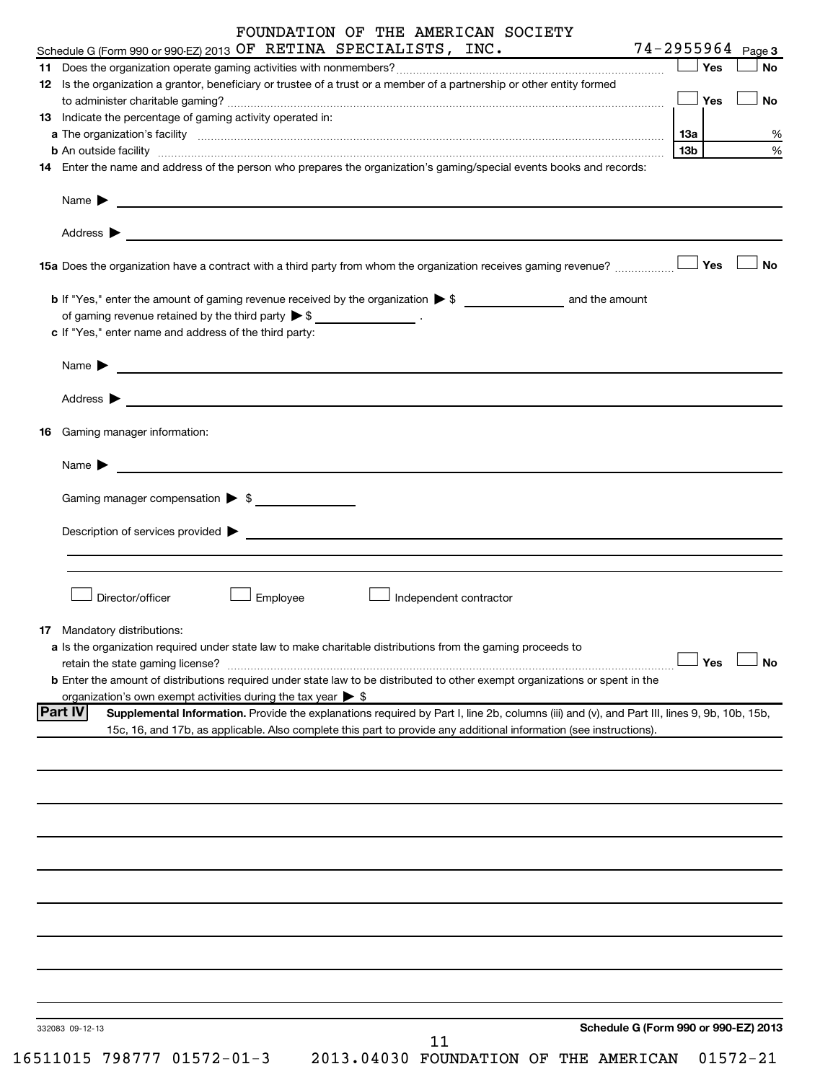# FOUNDATION OF THE AMERICAN SOCIETY

|    | Schedule G (Form 990 or 990-EZ) 2013 OF RETINA SPECIALISTS, INC.                                                                                                                                                                     | 74-2955964      |     | Page 3               |
|----|--------------------------------------------------------------------------------------------------------------------------------------------------------------------------------------------------------------------------------------|-----------------|-----|----------------------|
|    |                                                                                                                                                                                                                                      |                 | Yes | <b>No</b>            |
|    | 12 Is the organization a grantor, beneficiary or trustee of a trust or a member of a partnership or other entity formed                                                                                                              |                 |     |                      |
|    |                                                                                                                                                                                                                                      |                 | Yes | No                   |
|    | 13 Indicate the percentage of gaming activity operated in:                                                                                                                                                                           |                 |     |                      |
|    |                                                                                                                                                                                                                                      | 1За             |     | %                    |
|    | <b>b</b> An outside facility <i>www.communicality www.communicality.communicality www.communicality www.communicality.communicality www.communicality.com</i>                                                                        | 13 <sub>b</sub> |     | %                    |
|    |                                                                                                                                                                                                                                      |                 |     |                      |
|    | 14 Enter the name and address of the person who prepares the organization's gaming/special events books and records:                                                                                                                 |                 |     |                      |
|    |                                                                                                                                                                                                                                      |                 |     |                      |
|    | Name $\blacktriangleright$<br><u>and the contract of the contract of the contract of the contract of the contract of the contract of the contract of</u>                                                                             |                 |     |                      |
|    |                                                                                                                                                                                                                                      |                 |     |                      |
|    |                                                                                                                                                                                                                                      |                 |     |                      |
|    |                                                                                                                                                                                                                                      |                 |     |                      |
|    | 15a Does the organization have a contract with a third party from whom the organization receives gaming revenue?                                                                                                                     |                 | Yes | <b>No</b>            |
|    |                                                                                                                                                                                                                                      |                 |     |                      |
|    |                                                                                                                                                                                                                                      |                 |     |                      |
|    | of gaming revenue retained by the third party $\triangleright$ \$ __________________.                                                                                                                                                |                 |     |                      |
|    | c If "Yes," enter name and address of the third party:                                                                                                                                                                               |                 |     |                      |
|    |                                                                                                                                                                                                                                      |                 |     |                      |
|    | Name $\blacktriangleright$<br><u> 1989 - Johann Barbara, martin amerikan basal dan berasal dan berasal dalam basal dan berasal dalam berasal da</u>                                                                                  |                 |     |                      |
|    |                                                                                                                                                                                                                                      |                 |     |                      |
|    | Address <b>Department of the Contract Contract Contract Contract Contract Contract Contract Contract Contract Contract Contract Contract Contract Contract Contract Contract Contract Contract Contract Contract Contract Contra</b> |                 |     |                      |
|    |                                                                                                                                                                                                                                      |                 |     |                      |
| 16 | Gaming manager information:                                                                                                                                                                                                          |                 |     |                      |
|    |                                                                                                                                                                                                                                      |                 |     |                      |
|    |                                                                                                                                                                                                                                      |                 |     |                      |
|    | Name $\blacktriangleright$                                                                                                                                                                                                           |                 |     |                      |
|    |                                                                                                                                                                                                                                      |                 |     |                      |
|    | Gaming manager compensation > \$                                                                                                                                                                                                     |                 |     |                      |
|    |                                                                                                                                                                                                                                      |                 |     |                      |
|    | Description of services provided states and the service of the services of the services provided states and the services of the services of the services of the services of the services of the services of the services of th       |                 |     |                      |
|    |                                                                                                                                                                                                                                      |                 |     |                      |
|    |                                                                                                                                                                                                                                      |                 |     |                      |
|    |                                                                                                                                                                                                                                      |                 |     |                      |
|    | Director/officer<br>Employee<br>Independent contractor                                                                                                                                                                               |                 |     |                      |
|    |                                                                                                                                                                                                                                      |                 |     |                      |
|    | <b>17</b> Mandatory distributions:                                                                                                                                                                                                   |                 |     |                      |
|    | a Is the organization required under state law to make charitable distributions from the gaming proceeds to                                                                                                                          |                 |     |                      |
|    | retain the state gaming license?                                                                                                                                                                                                     |                 |     | $\Box$ Yes $\Box$ No |
|    | <b>b</b> Enter the amount of distributions required under state law to be distributed to other exempt organizations or spent in the                                                                                                  |                 |     |                      |
|    | organization's own exempt activities during the tax year $\triangleright$ \$                                                                                                                                                         |                 |     |                      |
|    | <b>Part IV</b><br>Supplemental Information. Provide the explanations required by Part I, line 2b, columns (iii) and (v), and Part III, lines 9, 9b, 10b, 15b,                                                                        |                 |     |                      |
|    | 15c, 16, and 17b, as applicable. Also complete this part to provide any additional information (see instructions).                                                                                                                   |                 |     |                      |
|    |                                                                                                                                                                                                                                      |                 |     |                      |
|    |                                                                                                                                                                                                                                      |                 |     |                      |
|    |                                                                                                                                                                                                                                      |                 |     |                      |
|    |                                                                                                                                                                                                                                      |                 |     |                      |
|    |                                                                                                                                                                                                                                      |                 |     |                      |
|    |                                                                                                                                                                                                                                      |                 |     |                      |
|    |                                                                                                                                                                                                                                      |                 |     |                      |
|    |                                                                                                                                                                                                                                      |                 |     |                      |
|    |                                                                                                                                                                                                                                      |                 |     |                      |
|    |                                                                                                                                                                                                                                      |                 |     |                      |
|    |                                                                                                                                                                                                                                      |                 |     |                      |
|    |                                                                                                                                                                                                                                      |                 |     |                      |
|    |                                                                                                                                                                                                                                      |                 |     |                      |
|    |                                                                                                                                                                                                                                      |                 |     |                      |
|    |                                                                                                                                                                                                                                      |                 |     |                      |
|    |                                                                                                                                                                                                                                      |                 |     |                      |
|    |                                                                                                                                                                                                                                      |                 |     |                      |
|    |                                                                                                                                                                                                                                      |                 |     |                      |
|    | Schedule G (Form 990 or 990-EZ) 2013<br>332083 09-12-13                                                                                                                                                                              |                 |     |                      |
|    | 11                                                                                                                                                                                                                                   |                 |     |                      |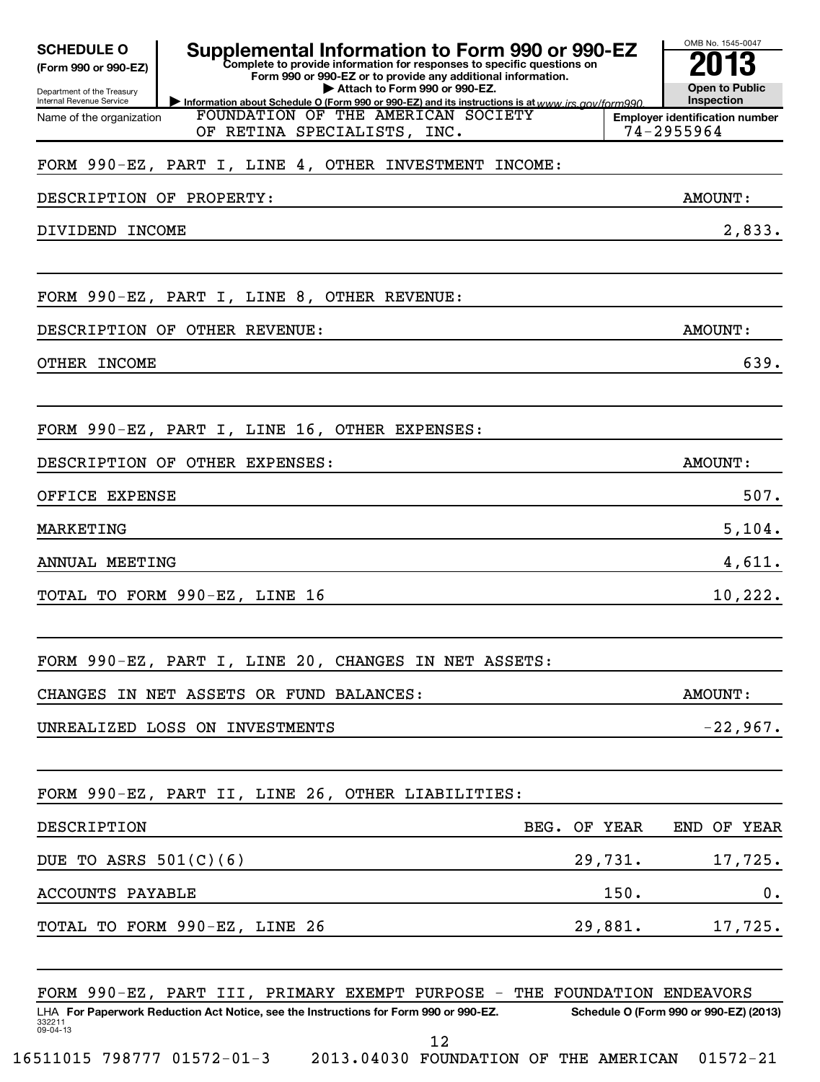| <b>SCHEDULE O</b><br>(Form 990 or 990-EZ)<br>Department of the Treasury<br>Internal Revenue Service | Supplemental Information to Form 990 or 990-EZ<br>Complete to provide information for responses to specific questions on<br>Form 990 or 990-EZ or to provide any additional information.<br>Attach to Form 990 or 990-EZ. |              | OMB No. 1545-0047<br><b>Open to Public</b><br>Inspection |
|-----------------------------------------------------------------------------------------------------|---------------------------------------------------------------------------------------------------------------------------------------------------------------------------------------------------------------------------|--------------|----------------------------------------------------------|
| Name of the organization                                                                            | Information about Schedule O (Form 990 or 990-EZ) and its instructions is at www irs nov/form990<br>FOUNDATION OF THE AMERICAN SOCIETY<br>OF RETINA SPECIALISTS, INC.                                                     |              | <b>Employer identification number</b><br>74-2955964      |
|                                                                                                     | FORM 990-EZ, PART I, LINE 4, OTHER INVESTMENT INCOME:                                                                                                                                                                     |              |                                                          |
| DESCRIPTION OF PROPERTY:                                                                            |                                                                                                                                                                                                                           |              | AMOUNT:                                                  |
| DIVIDEND INCOME                                                                                     |                                                                                                                                                                                                                           |              | 2,833.                                                   |
|                                                                                                     |                                                                                                                                                                                                                           |              |                                                          |
|                                                                                                     | FORM 990-EZ, PART I, LINE 8, OTHER REVENUE:                                                                                                                                                                               |              |                                                          |
|                                                                                                     | DESCRIPTION OF OTHER REVENUE:                                                                                                                                                                                             |              | AMOUNT:                                                  |
| OTHER INCOME                                                                                        |                                                                                                                                                                                                                           |              | 639.                                                     |
|                                                                                                     |                                                                                                                                                                                                                           |              |                                                          |
|                                                                                                     | FORM 990-EZ, PART I, LINE 16, OTHER EXPENSES:                                                                                                                                                                             |              |                                                          |
|                                                                                                     | DESCRIPTION OF OTHER EXPENSES:                                                                                                                                                                                            |              | AMOUNT:                                                  |
| OFFICE EXPENSE                                                                                      |                                                                                                                                                                                                                           |              | 507.                                                     |
| MARKETING                                                                                           |                                                                                                                                                                                                                           |              | 5,104.                                                   |
| ANNUAL MEETING                                                                                      |                                                                                                                                                                                                                           |              | 4,611.                                                   |
|                                                                                                     | TOTAL TO FORM 990-EZ, LINE 16                                                                                                                                                                                             |              | 10, 222.                                                 |
|                                                                                                     |                                                                                                                                                                                                                           |              |                                                          |
|                                                                                                     | FORM 990-EZ, PART I, LINE 20, CHANGES IN NET ASSETS:                                                                                                                                                                      |              |                                                          |
|                                                                                                     | CHANGES IN NET ASSETS OR FUND BALANCES:                                                                                                                                                                                   |              | AMOUNT:                                                  |
|                                                                                                     | UNREALIZED LOSS ON INVESTMENTS                                                                                                                                                                                            |              | $-22,967.$                                               |
|                                                                                                     |                                                                                                                                                                                                                           |              |                                                          |
|                                                                                                     | FORM 990-EZ, PART II, LINE 26, OTHER LIABILITIES:                                                                                                                                                                         |              |                                                          |
| DESCRIPTION                                                                                         |                                                                                                                                                                                                                           | BEG. OF YEAR | END OF YEAR                                              |
| DUE TO ASRS $501(C)(6)$                                                                             |                                                                                                                                                                                                                           | 29,731.      | 17,725.                                                  |
| ACCOUNTS PAYABLE                                                                                    |                                                                                                                                                                                                                           | 150.         | $0$ .                                                    |
|                                                                                                     | TOTAL TO FORM 990-EZ, LINE 26                                                                                                                                                                                             | 29,881.      | 17,725.                                                  |
|                                                                                                     |                                                                                                                                                                                                                           |              |                                                          |
|                                                                                                     | FORM 990-EZ, PART III, PRIMARY EXEMPT PURPOSE - THE FOUNDATION ENDEAVORS                                                                                                                                                  |              |                                                          |
| 332211<br>09-04-13                                                                                  | LHA For Paperwork Reduction Act Notice, see the Instructions for Form 990 or 990-EZ.                                                                                                                                      |              | Schedule O (Form 990 or 990-EZ) (2013)                   |
|                                                                                                     | 12                                                                                                                                                                                                                        |              |                                                          |